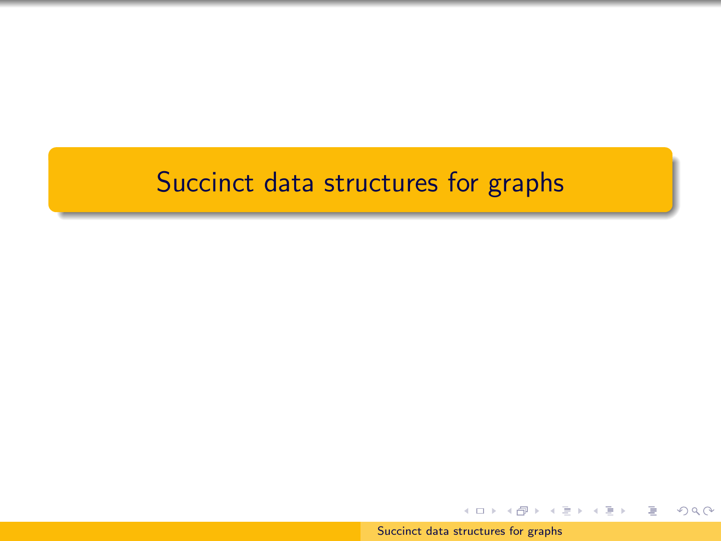# <span id="page-0-0"></span>Succinct data structures for graphs

[Succinct data structures for graphs](#page-86-0)

イロト イ部 トイモト イモトー

 $2Q$ 

∍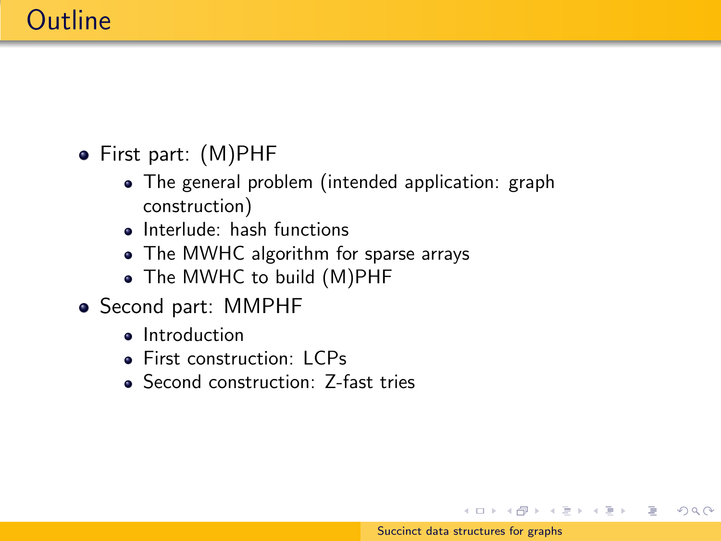# **Outline**

- First part: (M)PHF
	- The general problem (intended application: graph construction)
	- Interlude: hash functions
	- The MWHC algorithm for sparse arrays
	- The MWHC to build (M)PHF
- Second part: MMPHF
	- Introduction
	- **First construction: LCPs**
	- Second construction: Z-fast tries

イロン イ押ン イヨン イヨン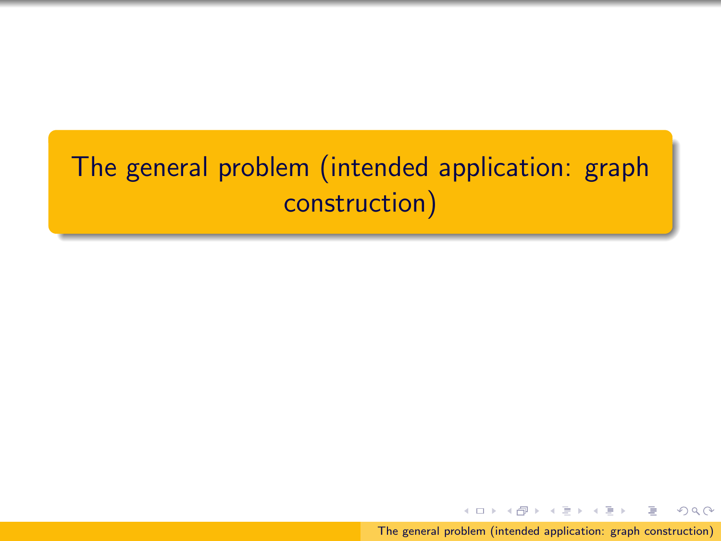# The general problem (intended application: graph construction)

[The general problem \(intended application: graph construction\)](#page-0-0)

4.000.00

メタト メミト メミト

つくい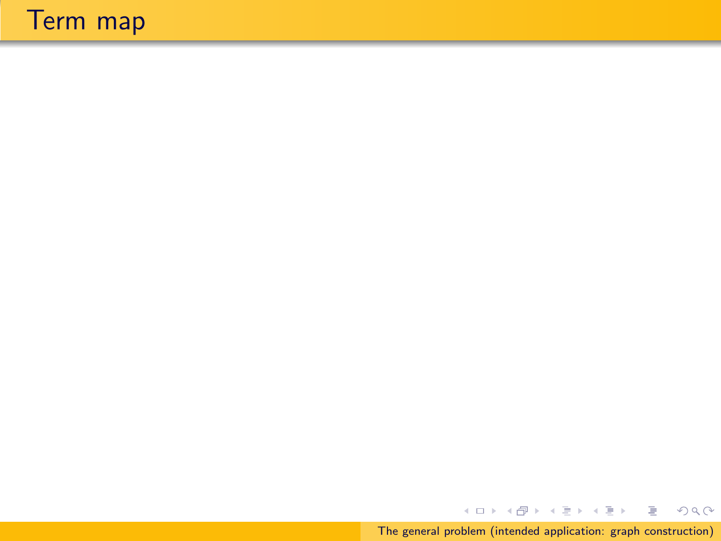# Term map

[The general problem \(intended application: graph construction\)](#page-0-0)

イロト イ部 トイをトイをトーをし

 $QQQ$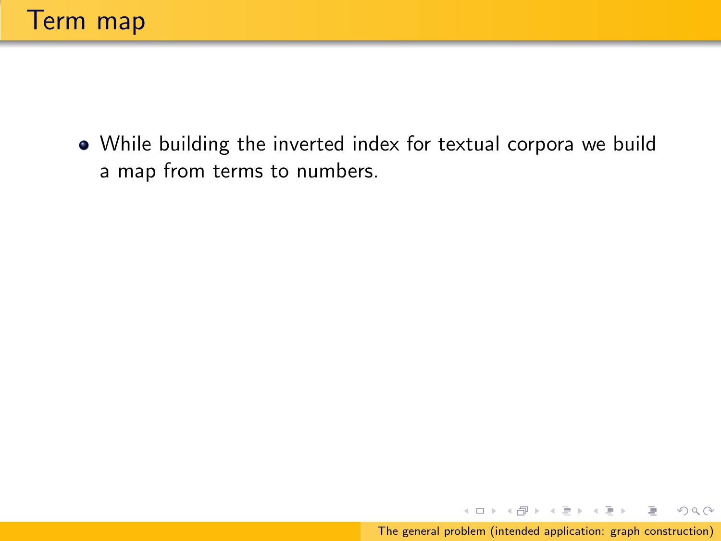While building the inverted index for textual corpora we build a map from terms to numbers.

 $\equiv$ 

 $PQQ$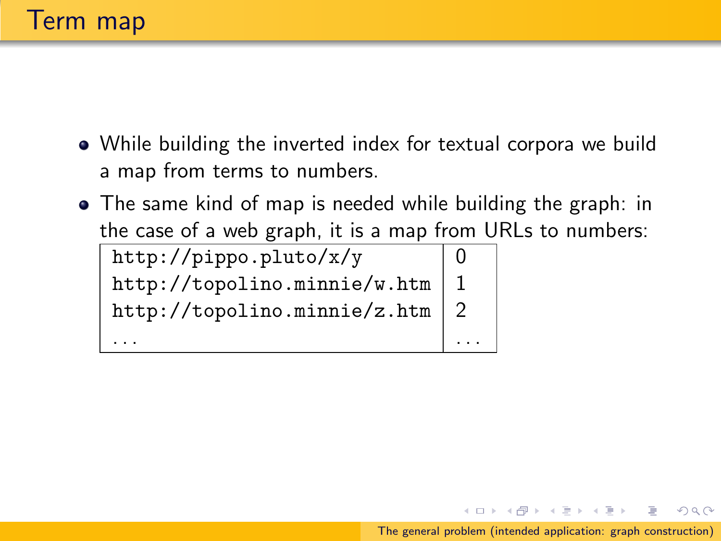- While building the inverted index for textual corpora we build a map from terms to numbers.
- The same kind of map is needed while building the graph: in the case of a web graph, it is a map from URLs to numbers:

| http://pippo.pluto/x/y            |  |
|-----------------------------------|--|
| http://topolino.minie/w.htm       |  |
| http://topolino.minnie/z.htm $ 2$ |  |
|                                   |  |

メラト メミト メミト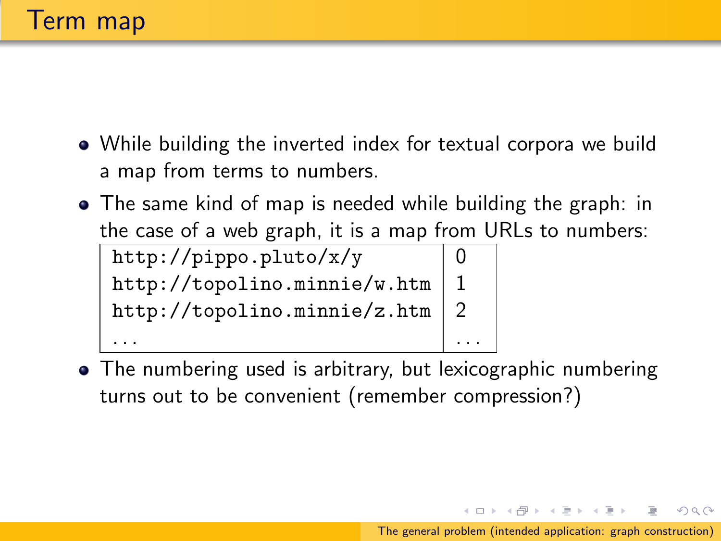- While building the inverted index for textual corpora we build a map from terms to numbers.
- The same kind of map is needed while building the graph: in the case of a web graph, it is a map from URLs to numbers:

http://pippo.pluto/x/y  $|0$ http://topolino.minnie/w.htm  $|1$ http://topolino.minnie/z.htm  $|2$ . . . . . .

• The numbering used is arbitrary, but lexicographic numbering turns out to be convenient (remember compression?)

[The general problem \(intended application: graph construction\)](#page-0-0)

伊 ト イヨ ト イヨ ト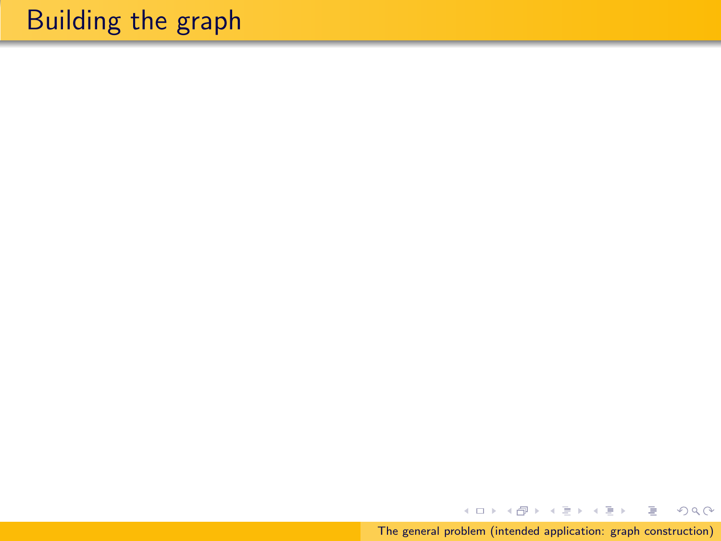# Building the graph

イロト イ部 トイモト イモト [The general problem \(intended application: graph construction\)](#page-0-0)

目

 $2Q$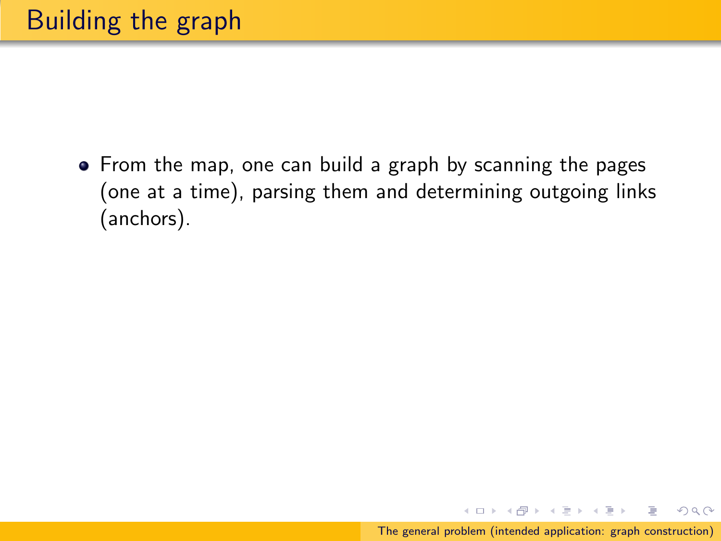• From the map, one can build a graph by scanning the pages (one at a time), parsing them and determining outgoing links (anchors).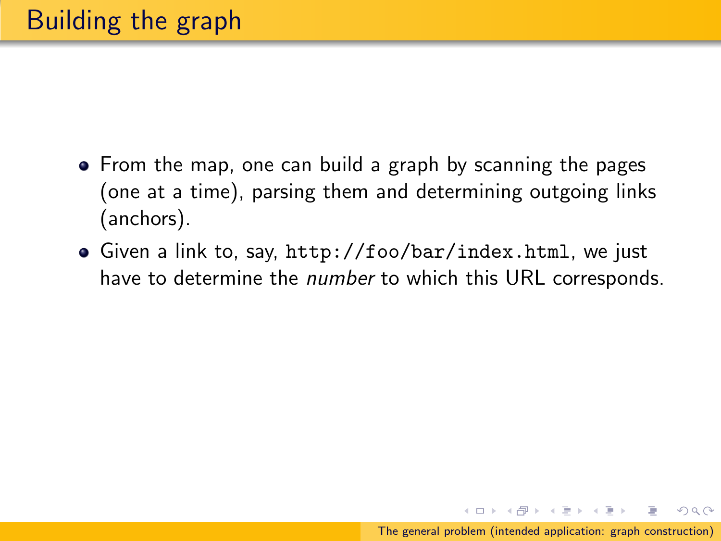- From the map, one can build a graph by scanning the pages (one at a time), parsing them and determining outgoing links (anchors).
- Given a link to, say, http://foo/bar/index.html, we just have to determine the number to which this URL corresponds.

メラト メミト メミトー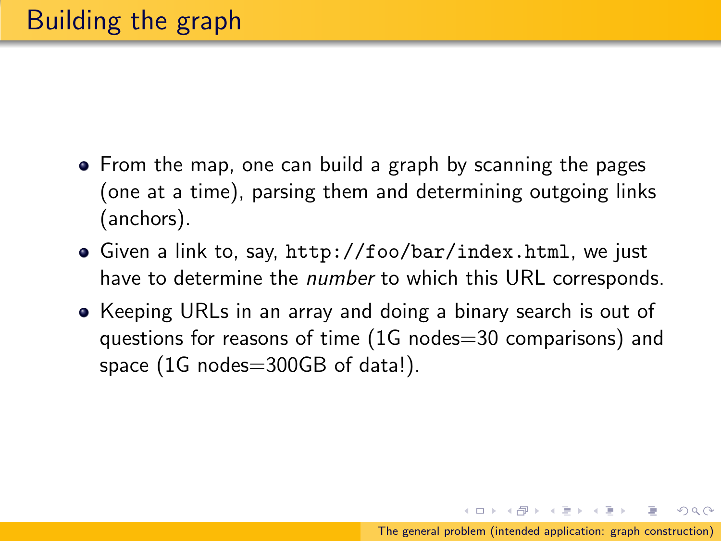- From the map, one can build a graph by scanning the pages (one at a time), parsing them and determining outgoing links (anchors).
- Given a link to, say, http://foo/bar/index.html, we just have to determine the *number* to which this URL corresponds.
- Keeping URLs in an array and doing a binary search is out of questions for reasons of time (1G nodes=30 comparisons) and space (1G nodes=300GB of data!).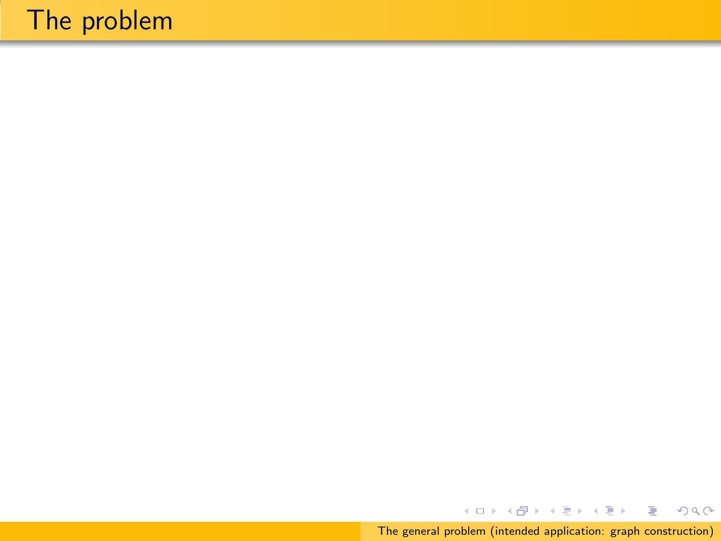イロト イ部 トイをトイをトー [The general problem \(intended application: graph construction\)](#page-0-0)

唐山  $2Q$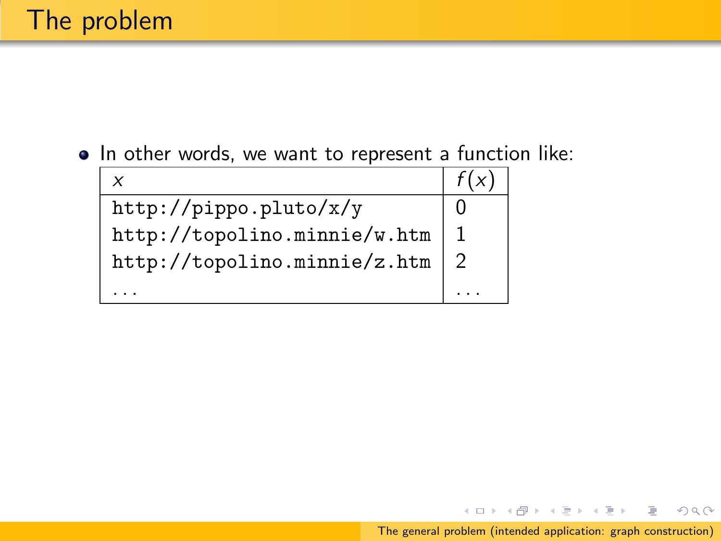• In other words, we want to represent a function like:

|                              | f(x) |
|------------------------------|------|
| http://pippo.pluto/x/y       |      |
| http://topolino.minnie/w.htm |      |
| http://topolino.minnie/z.htm | 2    |
|                              |      |

Þ

 $OQ$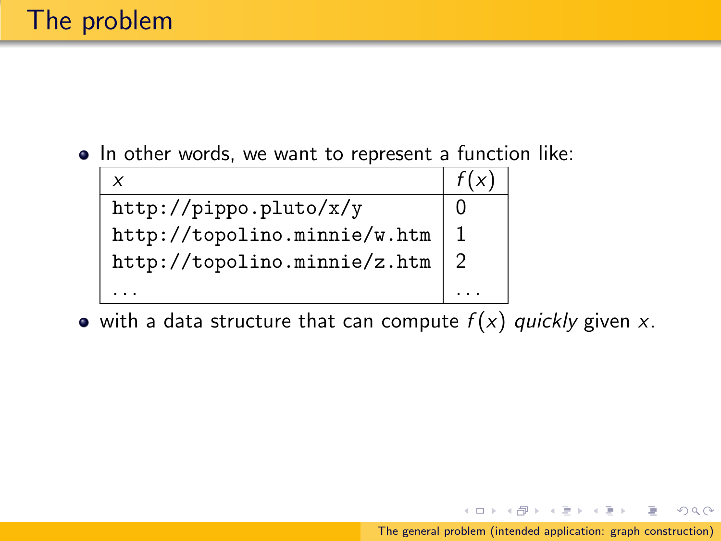• In other words, we want to represent a function like:

| x                            | f(x |
|------------------------------|-----|
| http://pippo.pluto/x/y       |     |
| http://topolino.minnie/w.htm |     |
| http://topolino.minnie/z.htm |     |
|                              |     |

• with a data structure that can compute  $f(x)$  quickly given x.

 $OQ$ 

∍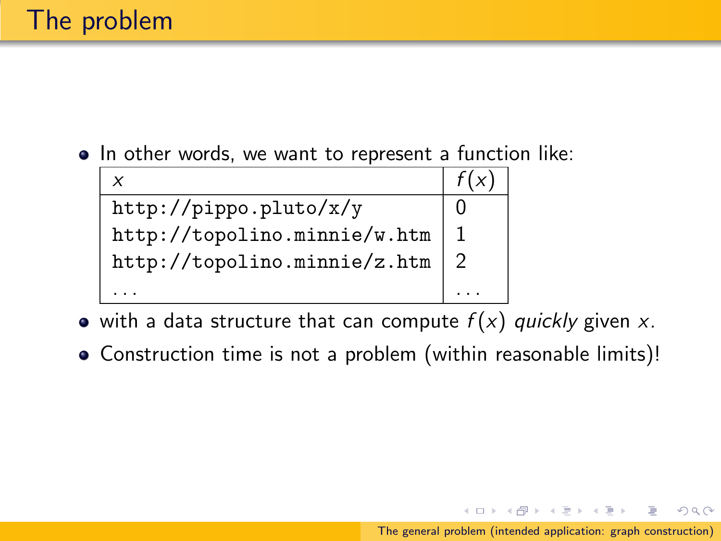• In other words, we want to represent a function like:

| x                            | f(x) |
|------------------------------|------|
| http://pippo.pluto/x/y       |      |
| http://topolino.minnie/w.htm |      |
| http://topolino.minnie/z.htm |      |
|                              |      |

- with a data structure that can compute  $f(x)$  quickly given x.
- Construction time is not a problem (within reasonable limits)!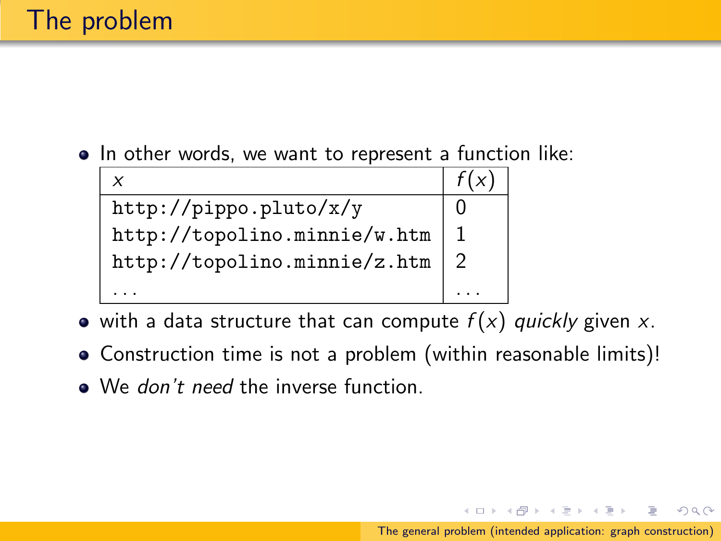• In other words, we want to represent a function like:

| X                            | f(x) |
|------------------------------|------|
| http://pippo.pluto/x/y       |      |
| http://topolino.minnie/w.htm |      |
| http://topolino.minnie/z.htm |      |
|                              |      |

- $\bullet$  with a data structure that can compute  $f(x)$  quickly given x.
- Construction time is not a problem (within reasonable limits)!
- We don't need the inverse function.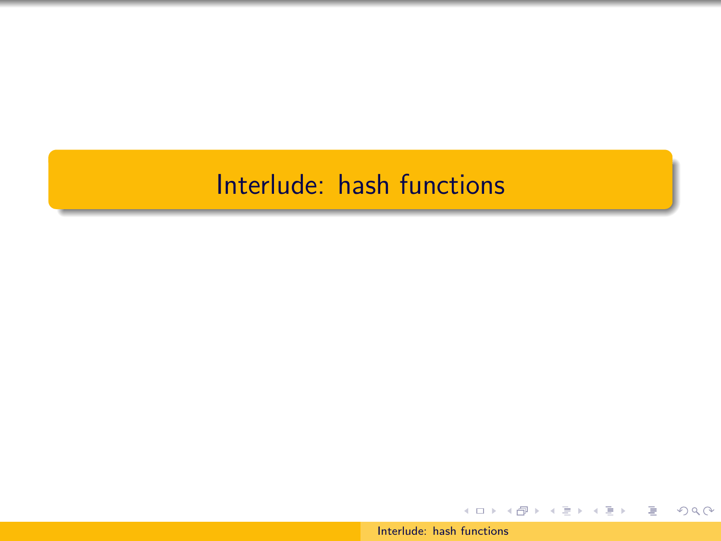# Interlude: hash functions

[Interlude: hash functions](#page-0-0)

イロト イ団 トメ ミト メ ミト

G.  $\Omega$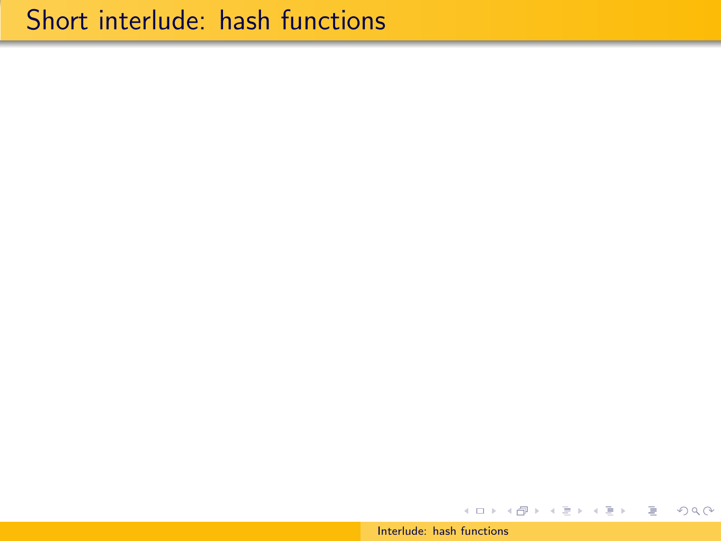[Interlude: hash functions](#page-0-0)

イロト イ団 トメ ミトメ ミトー

 $E = \Omega Q$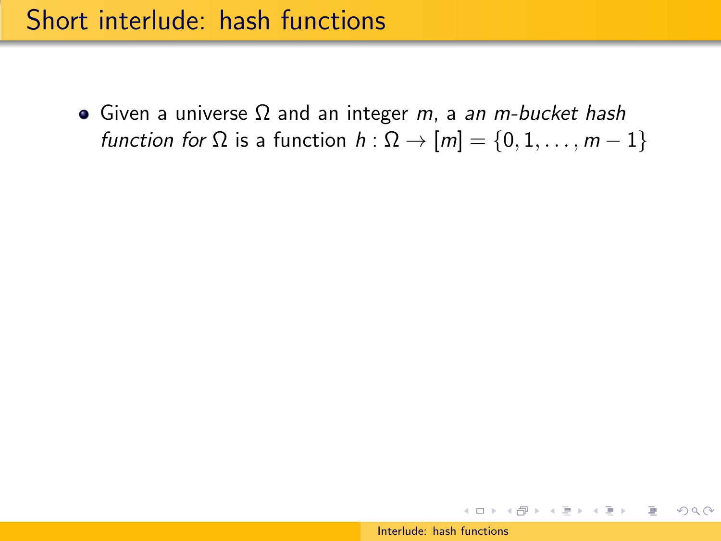• Given a universe  $Ω$  and an integer *m*, a an *m-bucket hash* function for  $\Omega$  is a function  $h : \Omega \to [m] = \{0, 1, \ldots, m - 1\}$ 

K ロ > K 何 > K ミ > K ミ > → ミ → の Q Q →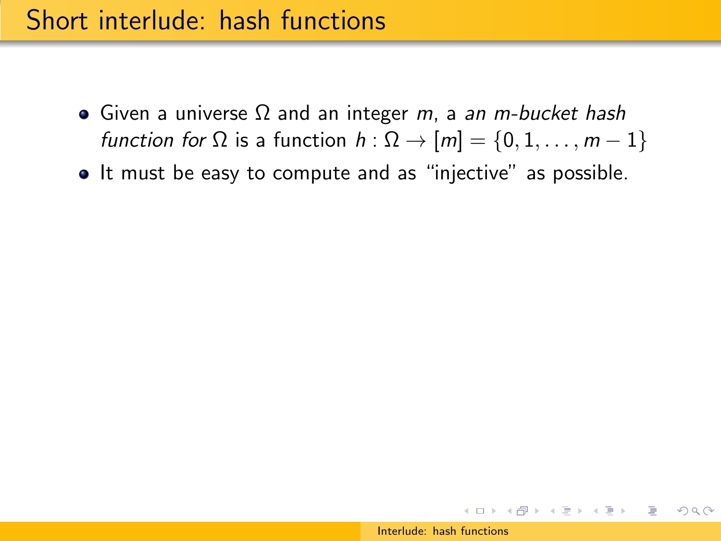- Given a universe  $\Omega$  and an integer *m*, a an *m-bucket hash* function for  $\Omega$  is a function  $h : \Omega \to [m] = \{0, 1, \ldots, m - 1\}$
- It must be easy to compute and as "injective" as possible.

イロン イ押ン イヨン イヨン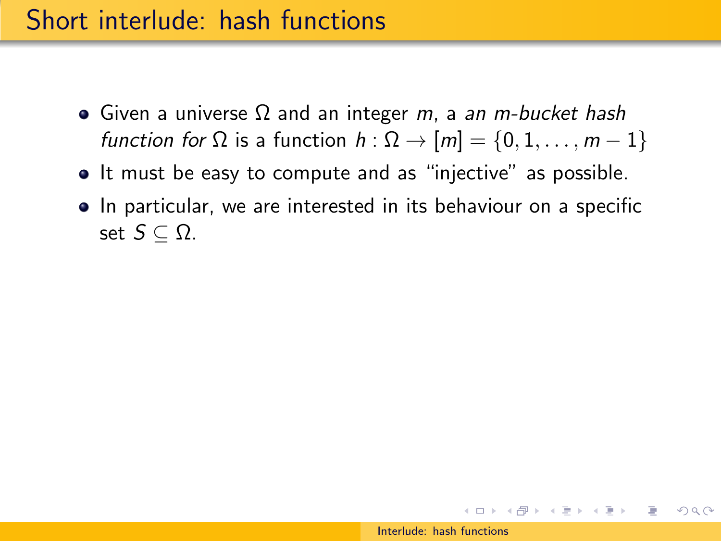- Given a universe  $\Omega$  and an integer *m*, a an *m-bucket hash* function for  $\Omega$  is a function  $h : \Omega \to [m] = \{0, 1, \ldots, m - 1\}$
- It must be easy to compute and as "injective" as possible.
- In particular, we are interested in its behaviour on a specific set  $S \subset \Omega$ .

スタンスミンスミント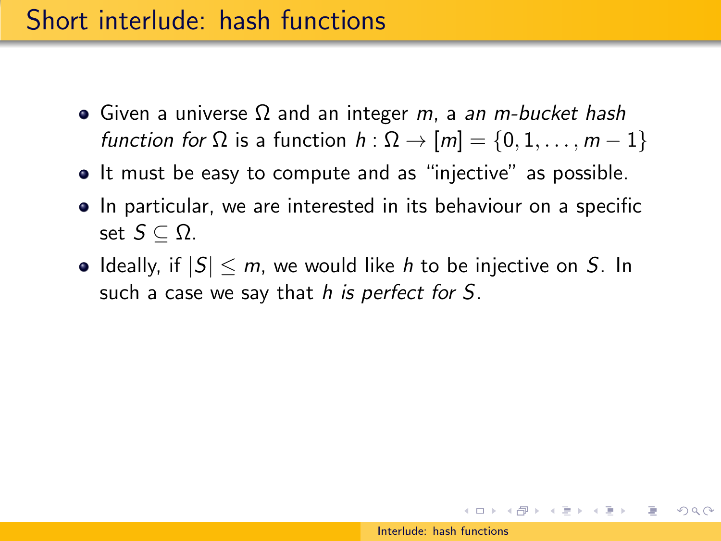- Given a universe  $\Omega$  and an integer *m*, a an *m-bucket hash* function for  $\Omega$  is a function  $h : \Omega \to [m] = \{0, 1, \ldots, m-1\}$
- It must be easy to compute and as "injective" as possible.
- In particular, we are interested in its behaviour on a specific set  $S \subset \Omega$ .
- Ideally, if  $|S| \le m$ , we would like h to be injective on S. In such a case we say that h is perfect for S.

スタンスミンスミント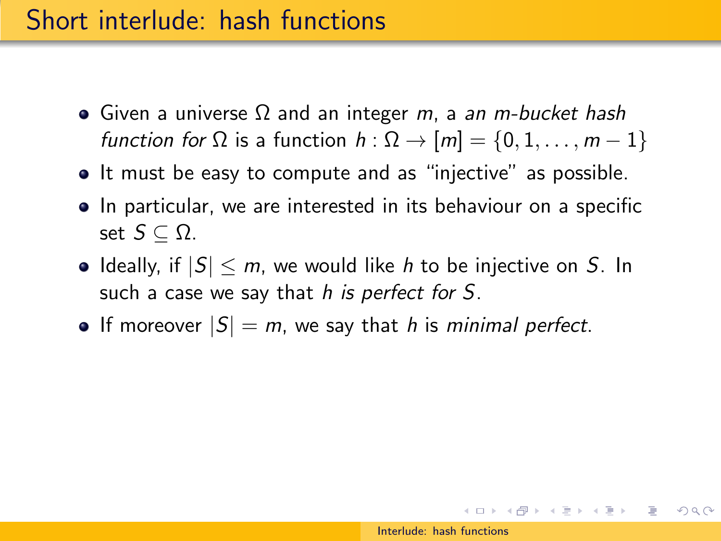- Given a universe  $\Omega$  and an integer *m*, a an *m-bucket hash* function for  $\Omega$  is a function  $h : \Omega \to [m] = \{0, 1, \ldots, m-1\}$
- It must be easy to compute and as "injective" as possible.
- In particular, we are interested in its behaviour on a specific set  $S \subset \Omega$ .
- Ideally, if  $|S| \le m$ , we would like h to be injective on S. In such a case we say that h is perfect for S.
- If moreover  $|S| = m$ , we say that h is minimal perfect.

イロメ イ団メ イモメ イモメー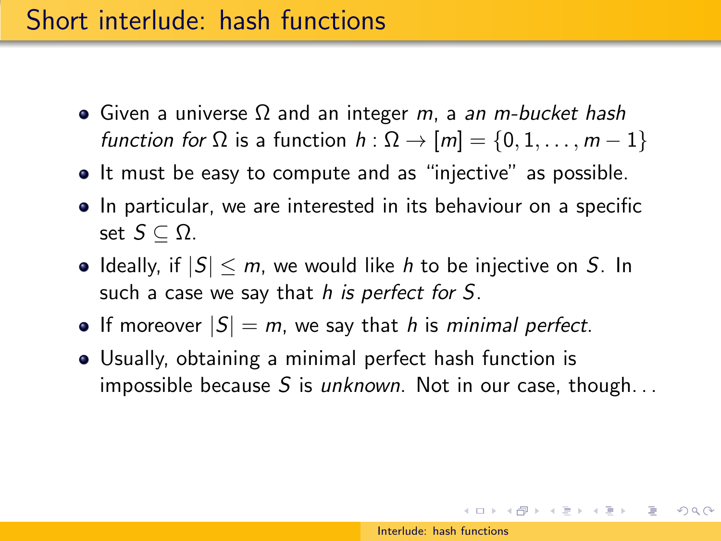- Given a universe  $\Omega$  and an integer *m*, a an *m-bucket hash* function for  $\Omega$  is a function  $h : \Omega \to [m] = \{0, 1, \ldots, m-1\}$
- It must be easy to compute and as "injective" as possible.
- In particular, we are interested in its behaviour on a specific set  $S \subset \Omega$ .
- Ideally, if  $|S| \le m$ , we would like h to be injective on S. In such a case we say that h is perfect for S.
- If moreover  $|S| = m$ , we say that h is minimal perfect.
- Usually, obtaining a minimal perfect hash function is impossible because S is unknown. Not in our case, though...

 $(0 \times 0) \times 0$  ,  $(1 \times 0) \times 0$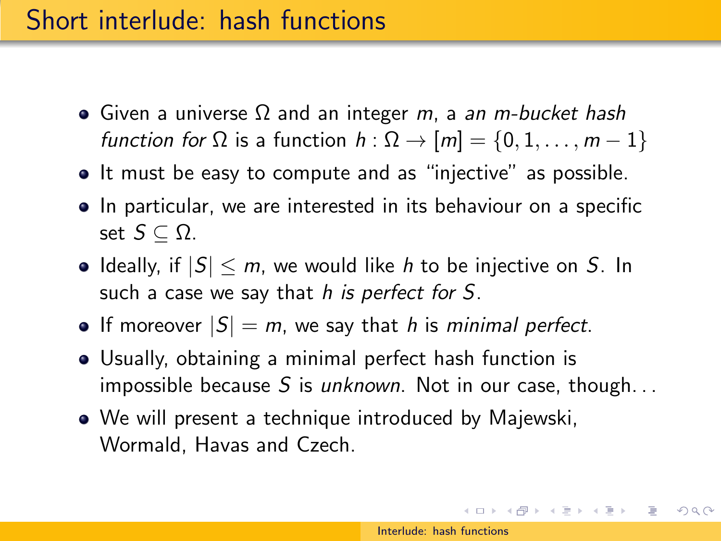- Given a universe  $\Omega$  and an integer *m*, a an *m-bucket hash* function for  $\Omega$  is a function  $h : \Omega \to [m] = \{0, 1, \ldots, m-1\}$
- It must be easy to compute and as "injective" as possible.
- In particular, we are interested in its behaviour on a specific set  $S \subset \Omega$ .
- Ideally, if  $|S| \le m$ , we would like h to be injective on S. In such a case we say that h is perfect for S.
- If moreover  $|S| = m$ , we say that h is minimal perfect.
- Usually, obtaining a minimal perfect hash function is impossible because S is unknown. Not in our case, though...
- We will present a technique introduced by Majewski, Wormald, Havas and Czech.

 $(0 \times 0) \times 0$  ,  $(1 \times 0) \times 0$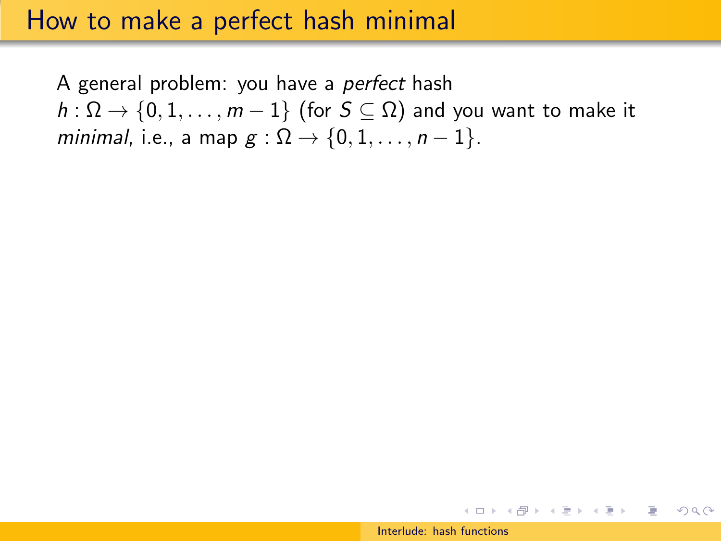A general problem: you have a perfect hash  $h: \Omega \to \{0, 1, \ldots, m-1\}$  (for  $S \subseteq \Omega$ ) and you want to make it minimal, i.e., a map  $g : \Omega \rightarrow \{0, 1, \ldots, n-1\}.$ 

イロメ イ団メ イモメ イモメー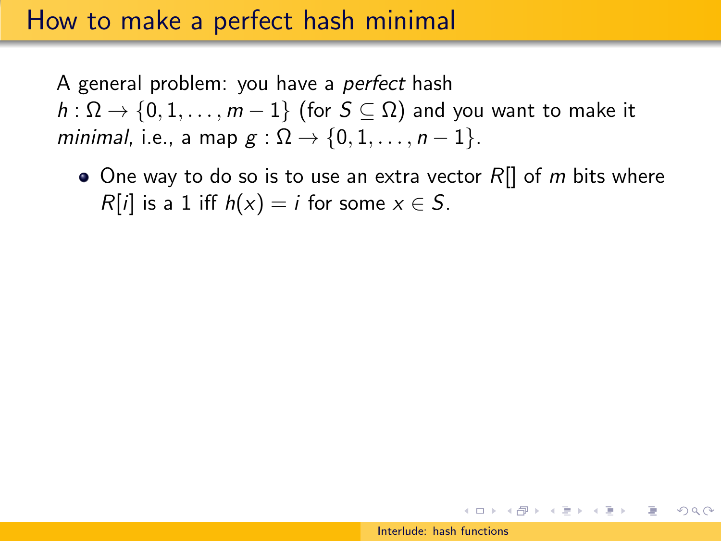A general problem: you have a perfect hash  $h: \Omega \to \{0, 1, \ldots, m-1\}$  (for  $S \subseteq \Omega$ ) and you want to make it minimal, i.e., a map  $g : \Omega \rightarrow \{0, 1, \ldots, n-1\}.$ 

 $\bullet$  One way to do so is to use an extra vector R[] of m bits where  $R[i]$  is a 1 iff  $h(x) = i$  for some  $x \in S$ .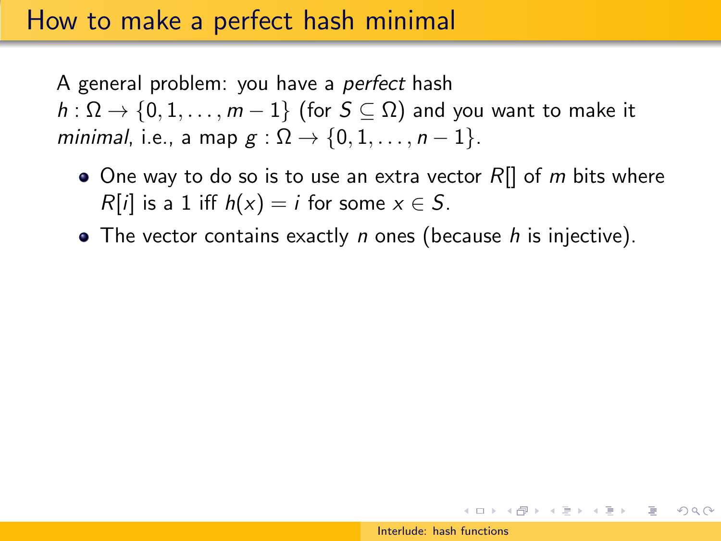A general problem: you have a perfect hash  $h: \Omega \to \{0, 1, \ldots, m-1\}$  (for  $S \subseteq \Omega$ ) and you want to make it minimal, i.e., a map  $g : \Omega \rightarrow \{0, 1, \ldots, n-1\}.$ 

- $\bullet$  One way to do so is to use an extra vector R|| of m bits where  $R[i]$  is a 1 iff  $h(x) = i$  for some  $x \in S$ .
- $\bullet$  The vector contains exactly *n* ones (because *h* is injective).

 $(0 \times 0) \times 0$  ,  $(1 \times 0) \times 0$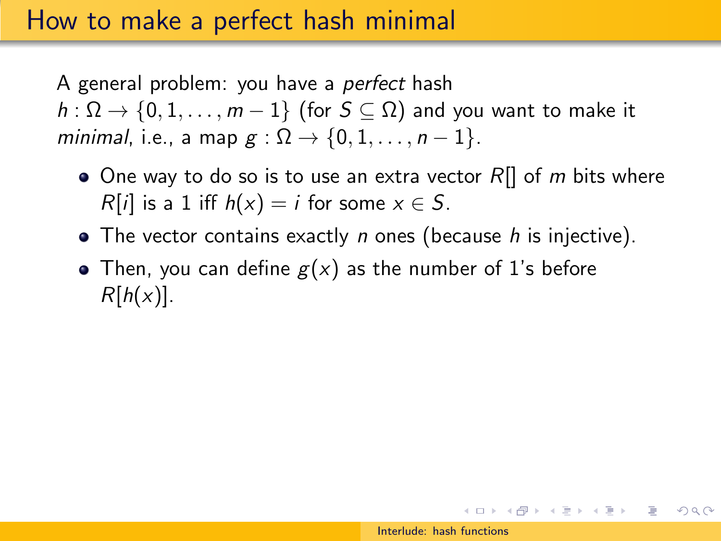A general problem: you have a perfect hash  $h: \Omega \to \{0, 1, \ldots, m-1\}$  (for  $S \subseteq \Omega$ ) and you want to make it minimal, i.e., a map  $g : \Omega \rightarrow \{0, 1, \ldots, n-1\}.$ 

- $\bullet$  One way to do so is to use an extra vector R[] of m bits where  $R[i]$  is a 1 iff  $h(x) = i$  for some  $x \in S$ .
- $\bullet$  The vector contains exactly *n* ones (because *h* is injective).
- Then, you can define  $g(x)$  as the number of 1's before  $R[h(x)]$ .

 $\mathbf{E} = \mathbf{A} \oplus \mathbf{B} + \mathbf{A} \oplus \mathbf{B} + \mathbf{A} \oplus \mathbf{B} + \mathbf{A} \oplus \mathbf{B} + \mathbf{A} \oplus \mathbf{B} + \mathbf{A} \oplus \mathbf{B} + \mathbf{A} \oplus \mathbf{B} + \mathbf{A} \oplus \mathbf{B} + \mathbf{A} \oplus \mathbf{B} + \mathbf{A} \oplus \mathbf{B} + \mathbf{A} \oplus \mathbf{B} + \mathbf{A} \oplus \mathbf{B} + \mathbf{A} \oplus \mathbf{B} + \mathbf{A$ 

 $OQ$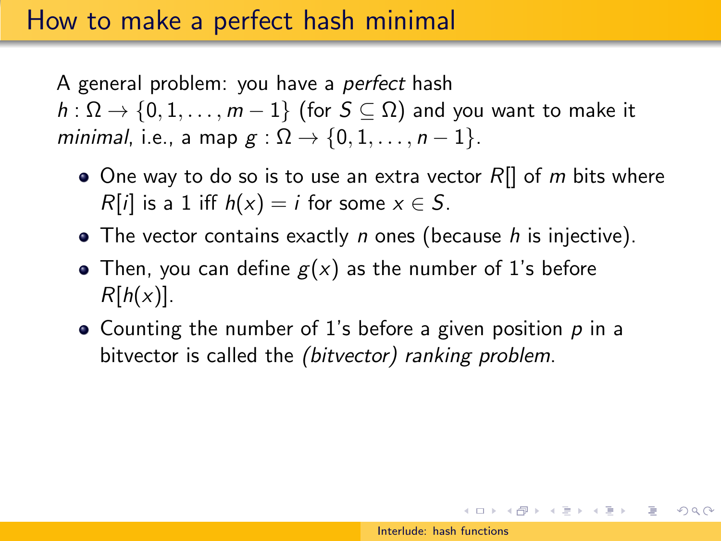A general problem: you have a perfect hash  $h: \Omega \to \{0, 1, \ldots, m-1\}$  (for  $S \subseteq \Omega$ ) and you want to make it minimal, i.e., a map  $g : \Omega \rightarrow \{0, 1, \ldots, n-1\}.$ 

- $\bullet$  One way to do so is to use an extra vector R[] of m bits where  $R[i]$  is a 1 iff  $h(x) = i$  for some  $x \in S$ .
- $\bullet$  The vector contains exactly *n* ones (because *h* is injective).
- Then, you can define  $g(x)$  as the number of 1's before  $R[h(x)].$
- Counting the number of 1's before a given position  $p$  in a bitvector is called the *(bitvector)* ranking problem.

**KORK ERRY A BY BRACK**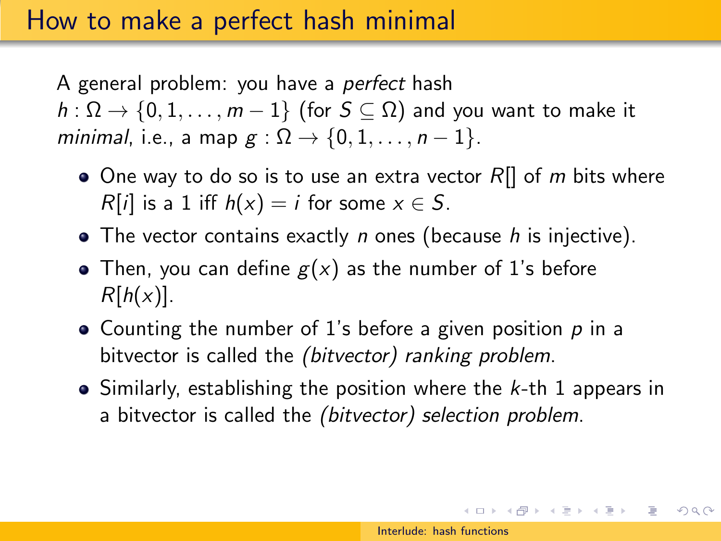A general problem: you have a perfect hash  $h: \Omega \to \{0, 1, \ldots, m-1\}$  (for  $S \subseteq \Omega$ ) and you want to make it minimal, i.e., a map  $g : \Omega \rightarrow \{0, 1, \ldots, n-1\}.$ 

- $\bullet$  One way to do so is to use an extra vector R[] of m bits where  $R[i]$  is a 1 iff  $h(x) = i$  for some  $x \in S$ .
- $\bullet$  The vector contains exactly *n* ones (because *h* is injective).
- Then, you can define  $g(x)$  as the number of 1's before  $R[h(x)].$
- Counting the number of 1's before a given position  $p$  in a bitvector is called the (bitvector) ranking problem.
- $\bullet$  Similarly, establishing the position where the k-th 1 appears in a bitvector is called the (bitvector) selection problem.

(ロ) (日) (日) (모) (모) 및 1000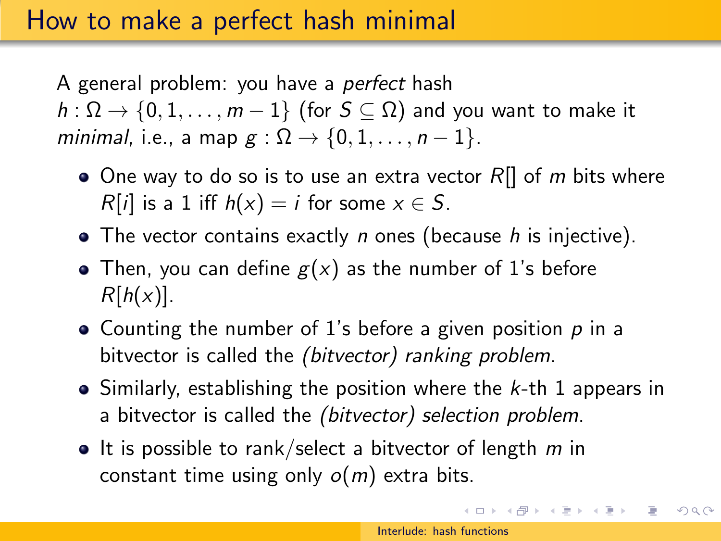A general problem: you have a perfect hash  $h: \Omega \to \{0, 1, \ldots, m-1\}$  (for  $S \subseteq \Omega$ ) and you want to make it minimal, i.e., a map  $g : \Omega \rightarrow \{0, 1, \ldots, n-1\}.$ 

- $\bullet$  One way to do so is to use an extra vector R[] of m bits where  $R[i]$  is a 1 iff  $h(x) = i$  for some  $x \in S$ .
- $\bullet$  The vector contains exactly *n* ones (because *h* is injective).
- Then, you can define  $g(x)$  as the number of 1's before  $R[h(x)].$
- Counting the number of 1's before a given position  $p$  in a bitvector is called the *(bitvector)* ranking problem.
- $\bullet$  Similarly, establishing the position where the k-th 1 appears in a bitvector is called the (bitvector) selection problem.
- $\bullet$  It is possible to rank/select a bitvector of length m in constant time using only  $o(m)$  extra bits.

 $\mathbf{A} \otimes \mathbf{B} \rightarrow \mathbf{A} \otimes \mathbf{B} \rightarrow \mathbf{A} \otimes \mathbf{B} \rightarrow \mathbf{A} \otimes \mathbf{B} \rightarrow \mathbf{B} \otimes \mathbf{B}$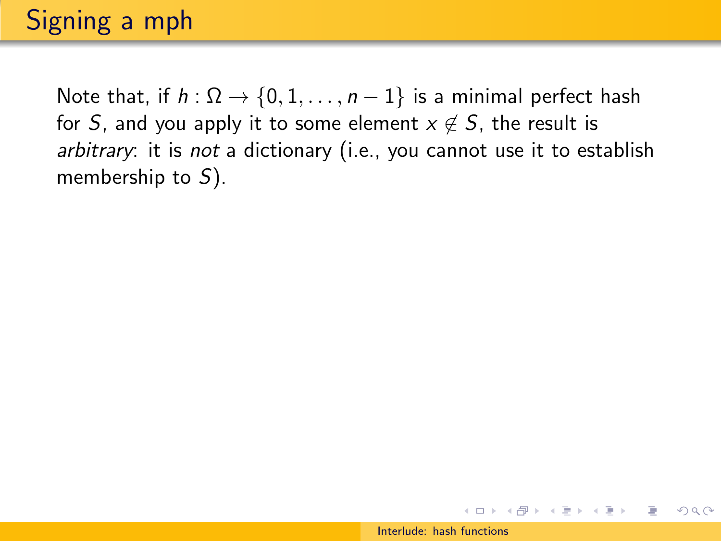Note that, if  $h : \Omega \to \{0, 1, \ldots, n-1\}$  is a minimal perfect hash for S, and you apply it to some element  $x \notin S$ , the result is arbitrary: it is not a dictionary (i.e., you cannot use it to establish membership to  $S$ ).

イロト イ団 トイモト イモト

 $QQ$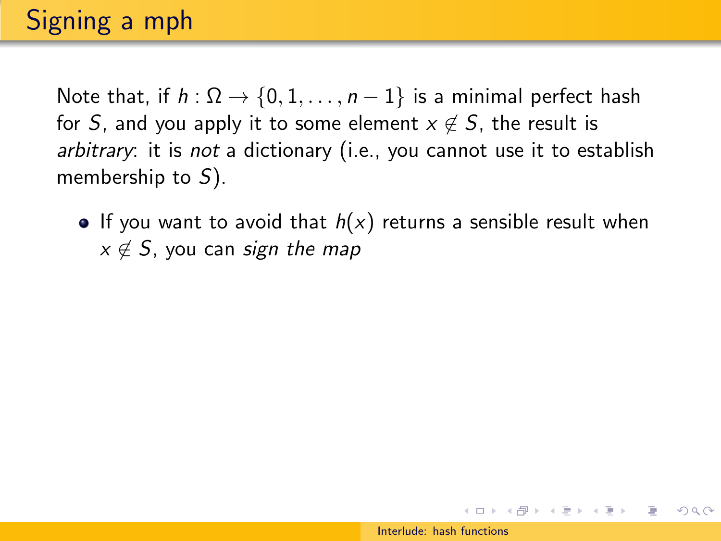Note that, if  $h : \Omega \to \{0, 1, \ldots, n-1\}$  is a minimal perfect hash for S, and you apply it to some element  $x \notin S$ , the result is arbitrary: it is not a dictionary (i.e., you cannot use it to establish membership to  $S$ ).

If you want to avoid that  $h(x)$  returns a sensible result when  $x \notin S$ , you can sign the map

イロト イ押 トイヨト イヨト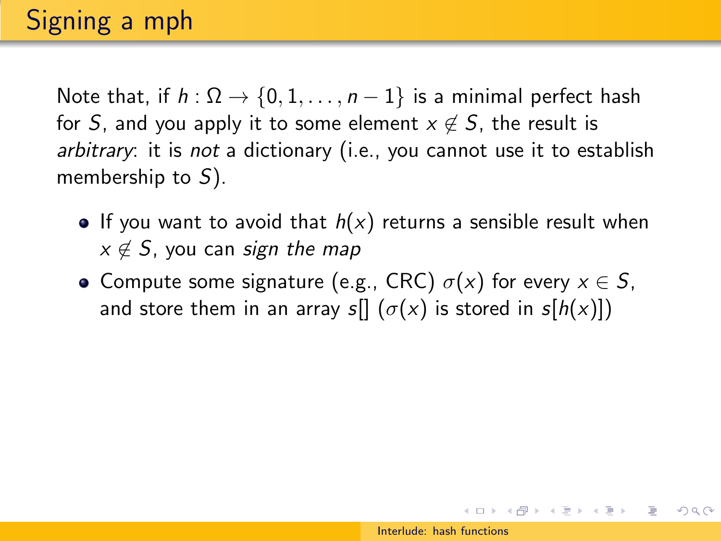Note that, if  $h : \Omega \to \{0, 1, \ldots, n-1\}$  is a minimal perfect hash for S, and you apply it to some element  $x \notin S$ , the result is arbitrary: it is not a dictionary (i.e., you cannot use it to establish membership to  $S$ ).

- If you want to avoid that  $h(x)$  returns a sensible result when  $x \notin S$ , you can sign the map
- Compute some signature (e.g., CRC)  $\sigma(x)$  for every  $x \in S$ , and store them in an array s[]  $(\sigma(x))$  is stored in s[h(x)])

イロト イ団 トイモト イモト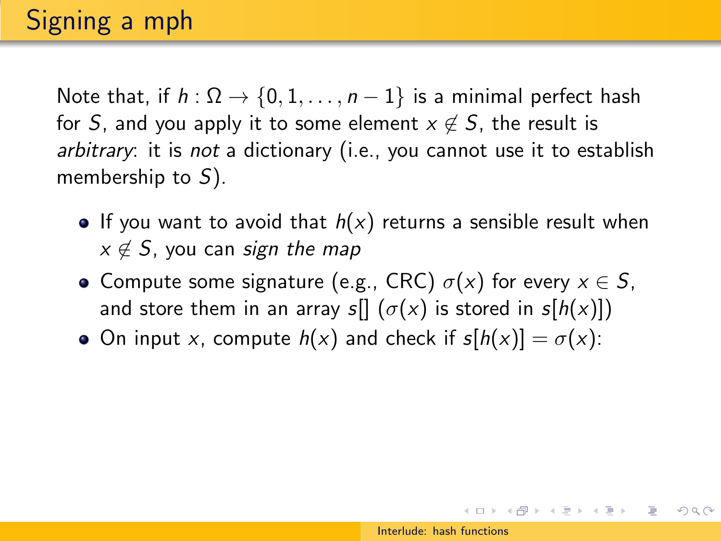Note that, if  $h : \Omega \rightarrow \{0, 1, \ldots, n-1\}$  is a minimal perfect hash for S, and you apply it to some element  $x \notin S$ , the result is arbitrary: it is not a dictionary (i.e., you cannot use it to establish membership to  $S$ ).

- If you want to avoid that  $h(x)$  returns a sensible result when  $x \notin S$ , you can sign the map
- Compute some signature (e.g., CRC)  $\sigma(x)$  for every  $x \in S$ , and store them in an array s[]  $(\sigma(x))$  is stored in s[h(x)])
- On input x, compute  $h(x)$  and check if  $s[h(x)] = \sigma(x)$ :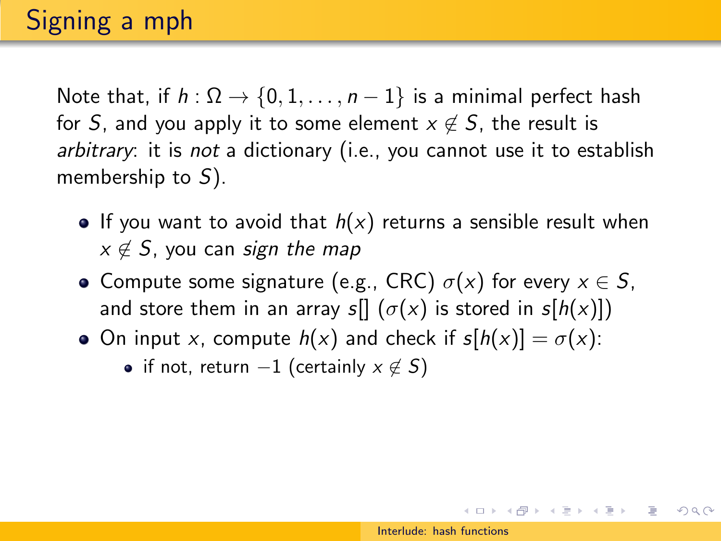Note that, if  $h : \Omega \rightarrow \{0, 1, \ldots, n-1\}$  is a minimal perfect hash for S, and you apply it to some element  $x \notin S$ , the result is arbitrary: it is not a dictionary (i.e., you cannot use it to establish membership to  $S$ ).

- If you want to avoid that  $h(x)$  returns a sensible result when  $x \notin S$ , you can sign the map
- Compute some signature (e.g., CRC)  $\sigma(x)$  for every  $x \in S$ , and store them in an array s[]  $(\sigma(x))$  is stored in s[h(x)])
- On input x, compute  $h(x)$  and check if  $s[h(x)] = \sigma(x)$ :
	- if not, return  $-1$  (certainly  $x \notin S$ )

 $(0 \times 0) \times 0$  ,  $(1 \times 0) \times 0$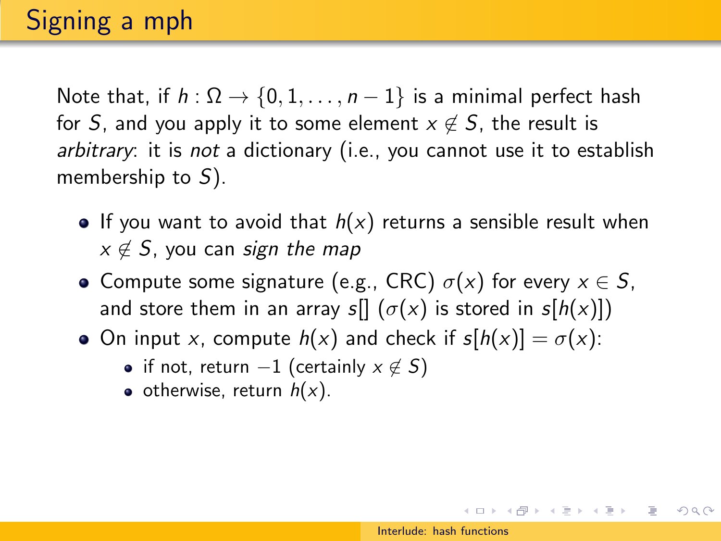Note that, if  $h : \Omega \rightarrow \{0, 1, \ldots, n-1\}$  is a minimal perfect hash for S, and you apply it to some element  $x \notin S$ , the result is arbitrary: it is not a dictionary (i.e., you cannot use it to establish membership to  $S$ ).

- If you want to avoid that  $h(x)$  returns a sensible result when  $x \notin S$ , you can sign the map
- Compute some signature (e.g., CRC)  $\sigma(x)$  for every  $x \in S$ , and store them in an array s[]  $(\sigma(x))$  is stored in s[h(x)])
- On input x, compute  $h(x)$  and check if  $s[h(x)] = \sigma(x)$ :
	- if not, return  $-1$  (certainly  $x \notin S$ )
	- otherwise, return  $h(x)$ .

 $(0 \times 0) \times 0$  ,  $(1 \times 0) \times 0$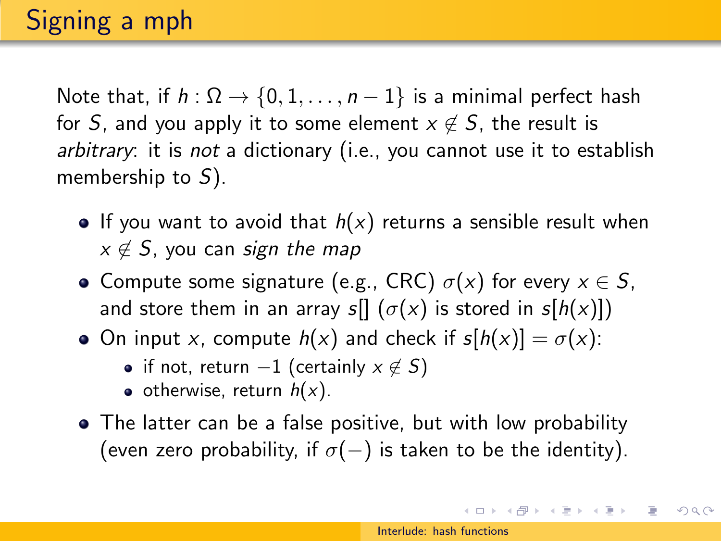Note that, if  $h : \Omega \rightarrow \{0, 1, \ldots, n-1\}$  is a minimal perfect hash for S, and you apply it to some element  $x \notin S$ , the result is arbitrary: it is not a dictionary (i.e., you cannot use it to establish membership to  $S$ ).

- If you want to avoid that  $h(x)$  returns a sensible result when  $x \notin S$ , you can sign the map
- Compute some signature (e.g., CRC)  $\sigma(x)$  for every  $x \in S$ , and store them in an array s[]  $(\sigma(x))$  is stored in s[h(x)])
- On input x, compute  $h(x)$  and check if  $s[h(x)] = \sigma(x)$ :
	- if not, return  $-1$  (certainly  $x \notin S$ )
	- otherwise, return  $h(x)$ .
- The latter can be a false positive, but with low probability (even zero probability, if  $\sigma(-)$  is taken to be the identity).

イロト イ押ト イヨト イヨト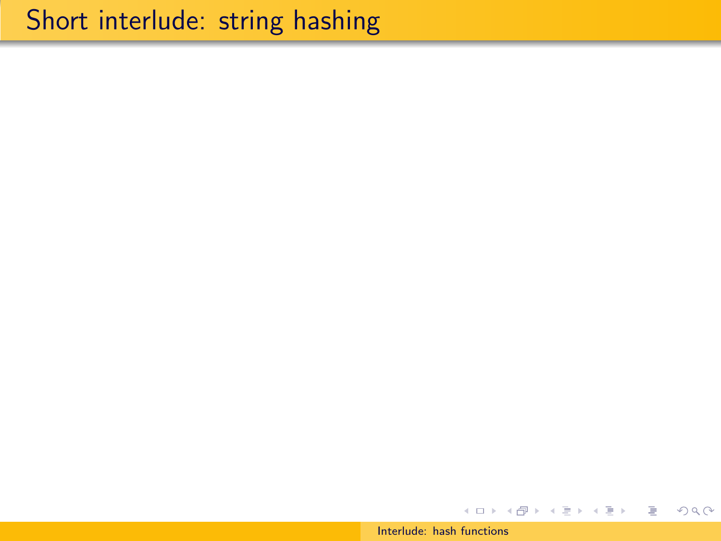#### [Interlude: hash functions](#page-0-0)

イロメ イ部メ イモメ イモメー

目

 $2Q$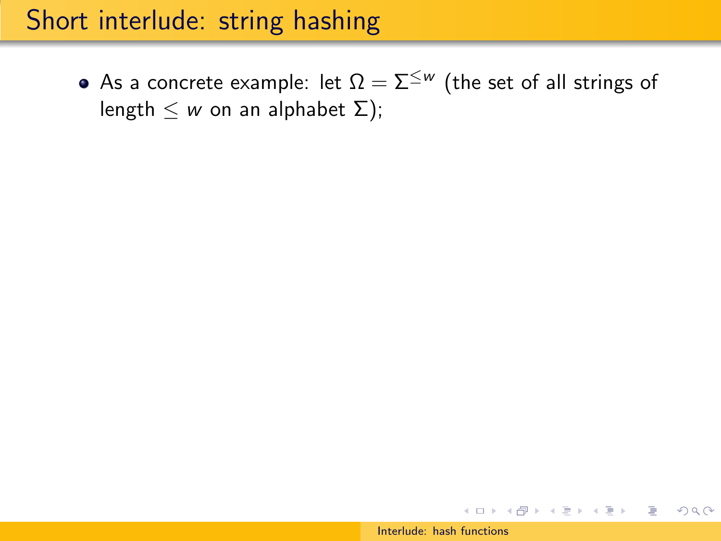• As a concrete example: let  $\Omega = \Sigma^{\leq w}$  (the set of all strings of length  $\leq w$  on an alphabet  $\Sigma$ );

イロト イ押 トイラト イラト

 $OQ$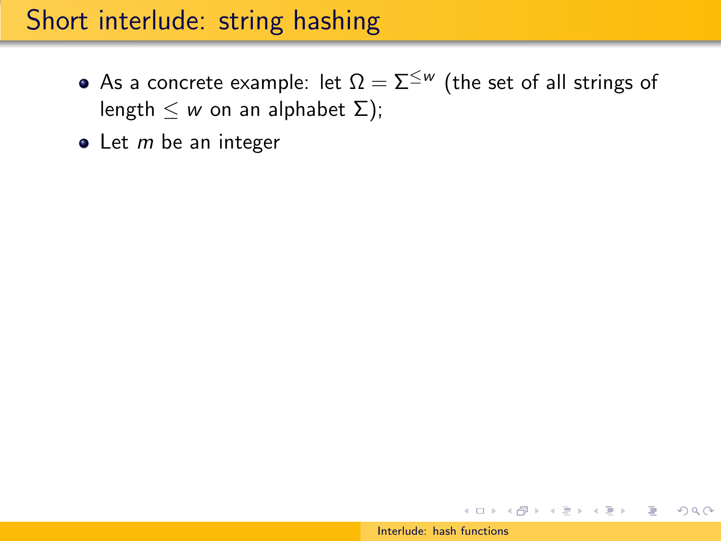- As a concrete example: let  $\Omega = \Sigma^{\leq w}$  (the set of all strings of length  $\leq w$  on an alphabet  $\Sigma$ );
- $\bullet$  Let *m* be an integer

イロト イ押 トイラト イラト

 $OQ$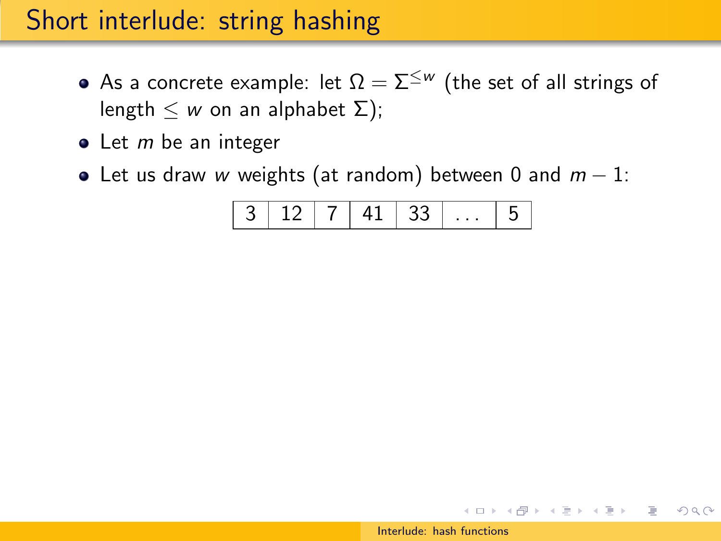- As a concrete example: let  $\Omega = \Sigma^{\leq w}$  (the set of all strings of length  $\leq w$  on an alphabet  $\Sigma$ );
- $\bullet$  Let *m* be an integer
- Let us draw w weights (at random) between 0 and  $m 1$ :

3 12 7 41 33 . . . 5

メラト メミト メミトー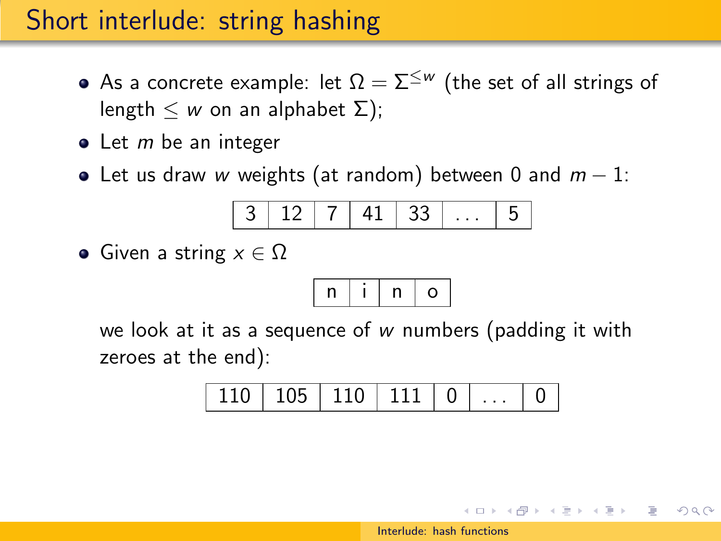- As a concrete example: let  $\Omega = \Sigma^{\leq w}$  (the set of all strings of length  $\leq w$  on an alphabet  $\Sigma$ );
- $\bullet$  Let *m* be an integer
- Let us draw w weights (at random) between 0 and  $m-1$ :

3 12 7 41 33 . . . 5

• Given a string  $x \in \Omega$ 

$$
\boxed{n\mid i\mid n\mid o}
$$

we look at it as a sequence of w numbers (padding it with zeroes at the end):

110 105 110 111 0 . . . 0

→ 何 ▶ → ヨ ▶ → ヨ ▶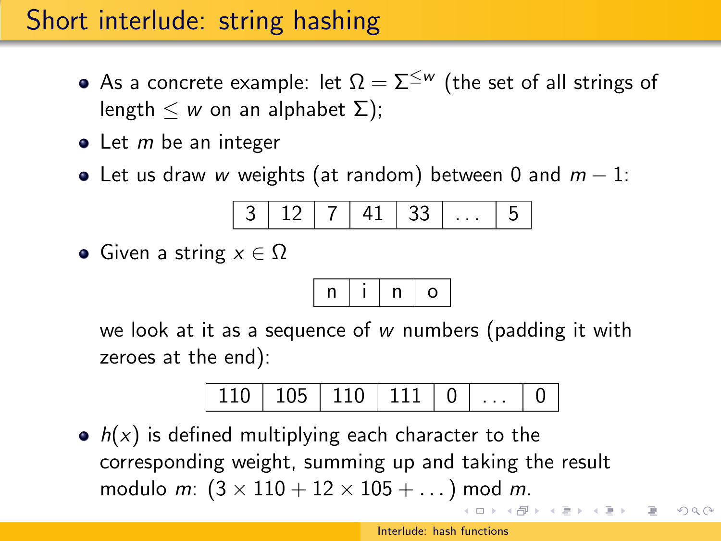- As a concrete example: let  $\Omega = \Sigma^{\leq w}$  (the set of all strings of length  $\leq w$  on an alphabet  $\Sigma$ );
- $\bullet$  Let *m* be an integer
- Let us draw w weights (at random) between 0 and  $m 1$ :

3 12 7 41 33 . . . 5

• Given a string  $x \in \Omega$ 

$$
\boxed{n\mid i\mid n\mid o}
$$

we look at it as a sequence of w numbers (padding it with zeroes at the end):



 $\bullet$   $h(x)$  is defined multiplying each character to the corresponding weight, summing up and taking the result modulo *m*:  $(3 \times 110 + 12 \times 105 + ...)$  mod *m*.

イ伊 メイヨ メイヨメー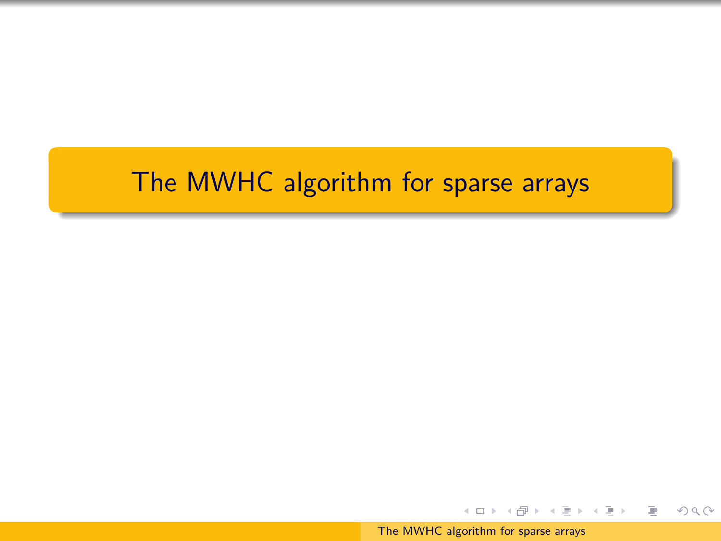# <span id="page-45-0"></span>The MWHC algorithm for sparse arrays

[The MWHC algorithm for sparse arrays](#page-0-0)

イロメ イ押メ イヨメ イヨメー

 $2Q$ 

э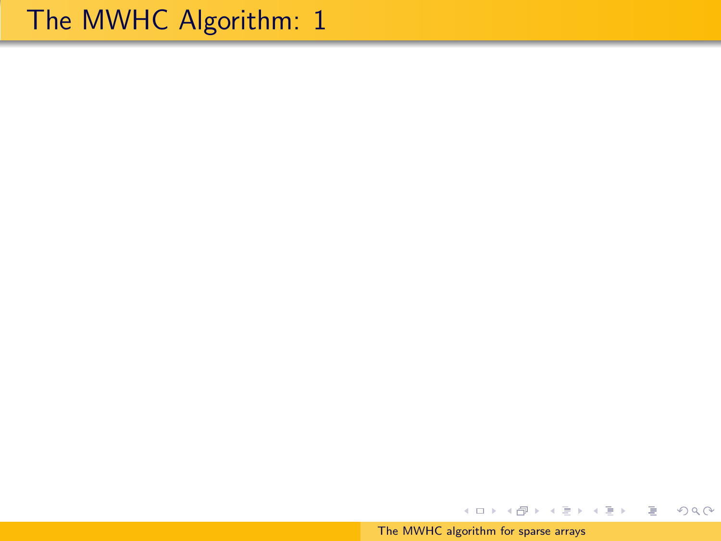[The MWHC algorithm for sparse arrays](#page-0-0)

イロン イ団ン イミン イミン

ミー  $299$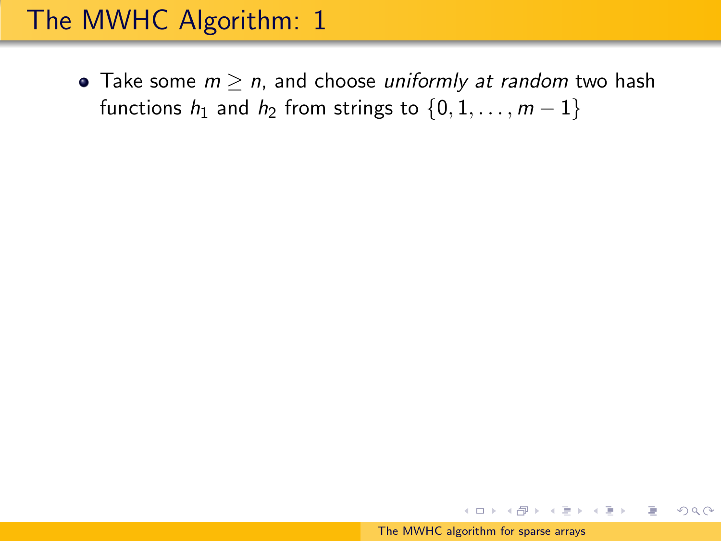• Take some  $m \ge n$ , and choose uniformly at random two hash functions  $h_1$  and  $h_2$  from strings to  $\{0, 1, \ldots, m-1\}$ 

イロメ イ母メ イヨメ イヨメー

 $OQ$ 

∍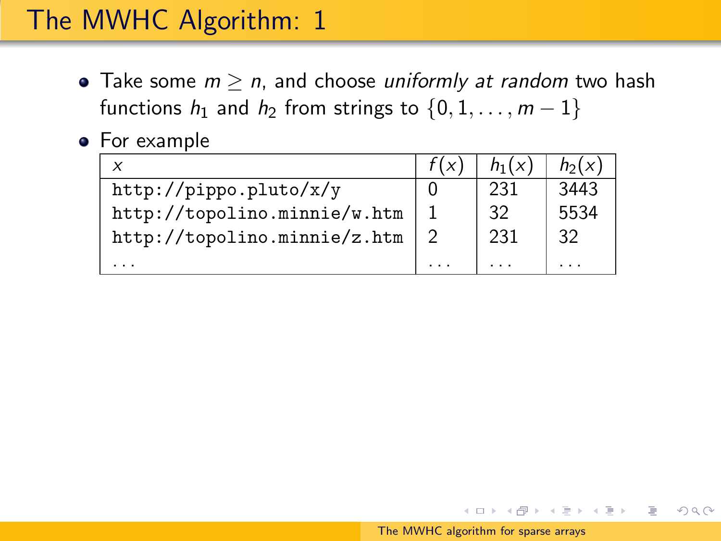- Take some  $m \ge n$ , and choose uniformly at random two hash functions  $h_1$  and  $h_2$  from strings to  $\{0, 1, \ldots, m-1\}$
- For example

| x                            | $h_1(x)$ | $h_2(x)$ |
|------------------------------|----------|----------|
| http://pippo.pluto/x/y       | 231      | 3443     |
| http://topolino.minnie/w.htm | 32       | 5534     |
| http://topolino.minnie/z.htm | 231      | 32       |
|                              |          |          |

イロメ イ押メ イヨメ イヨメー

∍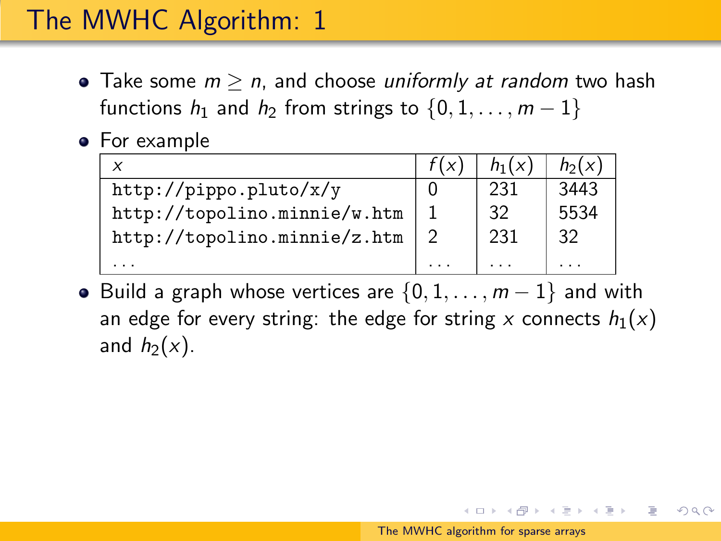- Take some  $m \ge n$ , and choose uniformly at random two hash functions  $h_1$  and  $h_2$  from strings to  $\{0, 1, \ldots, m-1\}$
- For example

| x                            | $h_1(x)$ | $h_2(x)$ |
|------------------------------|----------|----------|
| http://pippo.pluto/x/y       | 231      | 3443     |
| http://topolino.minnie/w.htm | 32       | 5534     |
| http://topolino.minnie/z.htm | 231      | 32       |
|                              |          |          |

• Build a graph whose vertices are  $\{0, 1, \ldots, m-1\}$  and with an edge for every string: the edge for string x connects  $h_1(x)$ and  $h_2(x)$ .

スタンスミンスミント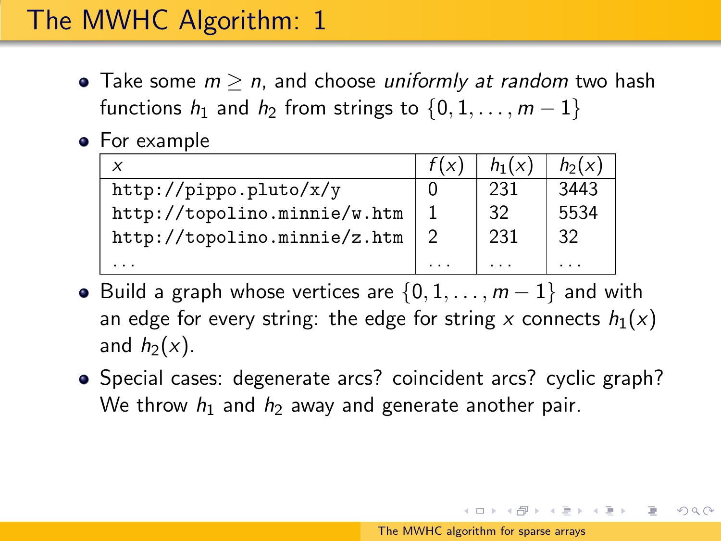- <span id="page-50-0"></span>• Take some  $m > n$ , and choose *uniformly at random* two hash functions  $h_1$  and  $h_2$  from strings to  $\{0, 1, \ldots, m-1\}$
- For example

| ×                            | $h_1(x)$ | $h_2(x)$ |
|------------------------------|----------|----------|
| http://pippo.pluto/x/y       | 231      | 3443     |
| http://topolino.minnie/w.htm | 32       | 5534     |
| http://topolino.minnie/z.htm | 231      | 32       |
|                              |          |          |

- Build a graph whose vertices are  $\{0, 1, \ldots, m-1\}$  and with an edge for every string: the edge for string x connects  $h_1(x)$ and  $h_2(x)$ .
- Special cases: degenerate arcs? coincident arcs? cyclic graph? We throw  $h_1$  and  $h_2$  away and generate another pair.

ス 何 ト ス ヨ ト ス ヨ ト ニ ヨ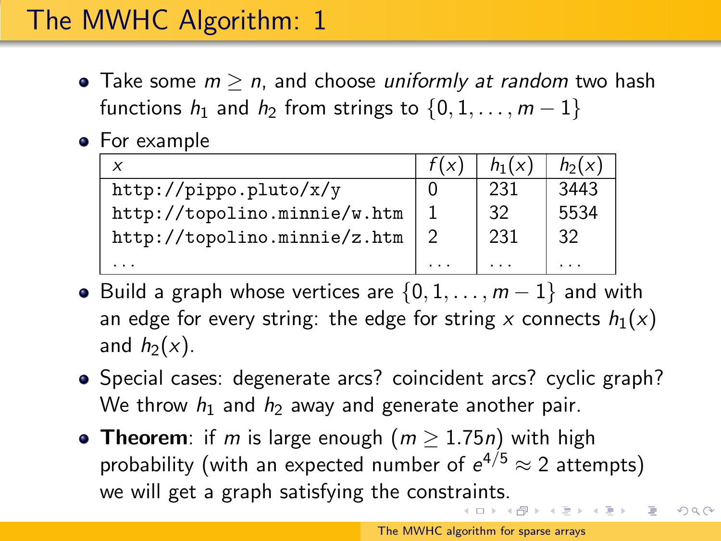- Take some  $m > n$ , and choose *uniformly at random* two hash functions  $h_1$  and  $h_2$  from strings to  $\{0, 1, \ldots, m-1\}$
- For example

| ×                            | $h_1(x)$ | $h_2(x)$ |
|------------------------------|----------|----------|
| http://pippo.pluto/x/y       | 231      | 3443     |
| http://topolino.minnie/w.htm | 32       | 5534     |
| http://topolino.minnie/z.htm | 231      | 32       |
|                              |          |          |

- Build a graph whose vertices are  $\{0, 1, \ldots, m-1\}$  and with an edge for every string: the edge for string x connects  $h_1(x)$ and  $h_2(x)$ .
- Special cases: degenerate arcs? coincident arcs? cyclic graph? We throw  $h_1$  and  $h_2$  away and generate another pair.
- Theorem: if m is large enough  $(m > 1.75n)$  with high probability (with an expected number of  $e^{4/5} \approx 2$  attempts) we will get a graph satisfying the const[rai](#page-50-0)[nts](#page-52-0)[.](#page-45-0) ス 何 ト ス ヨ ト ス ヨ ト ニ ヨ

 $OQ$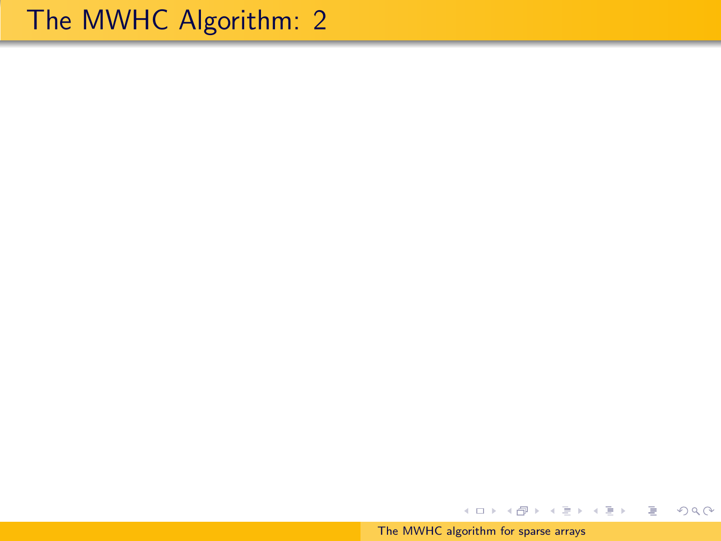<span id="page-52-0"></span>[The MWHC algorithm for sparse arrays](#page-0-0)

イロン イ団ン イミン イミン

ミー  $299$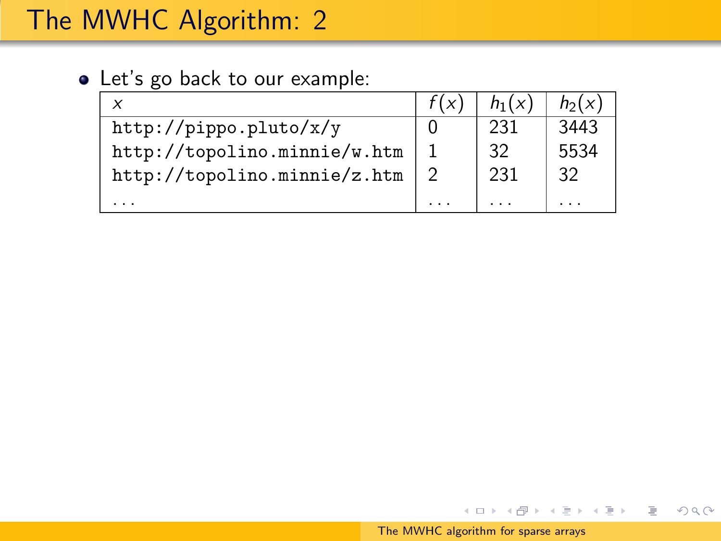### Let's go back to our example:

| $\times$                     | $h_1(x)$ | $h_2(x)$ |
|------------------------------|----------|----------|
| http://pippo.pluto/x/y       | 231      | 3443     |
| http://topolino.minnie/w.htm | 32       | 5534     |
| http://topolino.minnie/z.htm | 231      | 32       |
|                              |          |          |

イロト イ部 トイモト イモトー

目

 $2Q$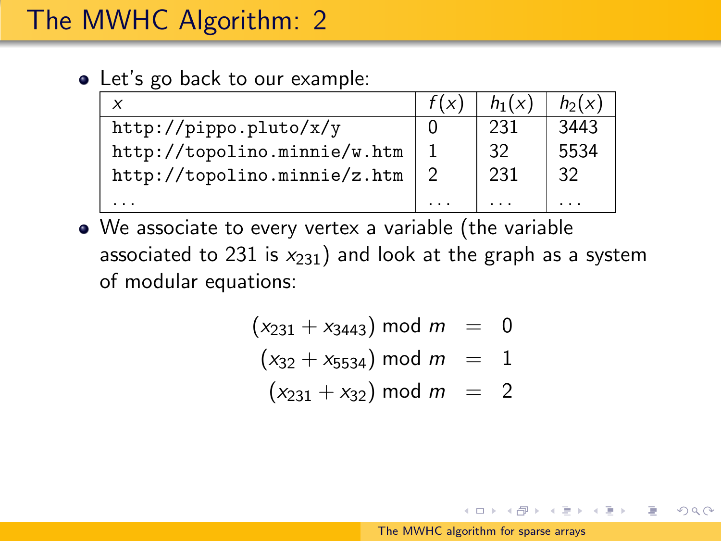• Let's go back to our example:

| $\times$                     | $h_1(x)$ | $h_2(x)$ |
|------------------------------|----------|----------|
| http://pippo.pluto/x/y       | 231      | 3443     |
| http://topolino.minnie/w.htm | 32       | 5534     |
| http://topolino.minnie/z.htm | 231      | 32       |
|                              |          |          |

We associate to every vertex a variable (the variable associated to 231 is  $x_{231}$ ) and look at the graph as a system of modular equations:

$$
(x_{231} + x_{3443}) \mod m = 0
$$
  

$$
(x_{32} + x_{5534}) \mod m = 1
$$
  

$$
(x_{231} + x_{32}) \mod m = 2
$$

イロメ イ押メ イヨメ イヨメー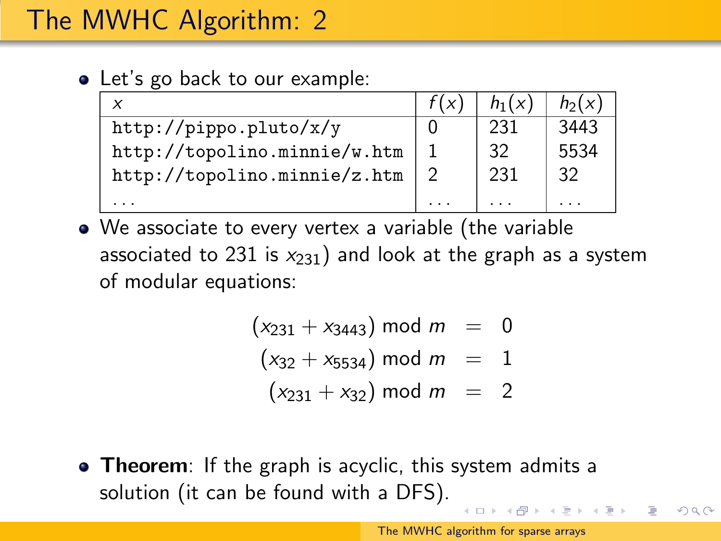• Let's go back to our example:

| ×                            | $h_1(x)$ | $h_2(x)$ |
|------------------------------|----------|----------|
| http://pippo.pluto/x/y       | 231      | 3443     |
| http://topolino.minnie/w.htm | 32       | 5534     |
| http://topolino.minnie/z.htm | 231      | 32       |
|                              |          |          |

We associate to every vertex a variable (the variable associated to 231 is  $x_{231}$ ) and look at the graph as a system of modular equations:

> $(x_{231} + x_{3443})$  mod  $m = 0$  $(x_{32} + x_{5534})$  mod  $m = 1$  $(x_{231} + x_{32})$  mod  $m = 2$

• Theorem: If the graph is acyclic, this system admits a solution (it can be found with a DFS).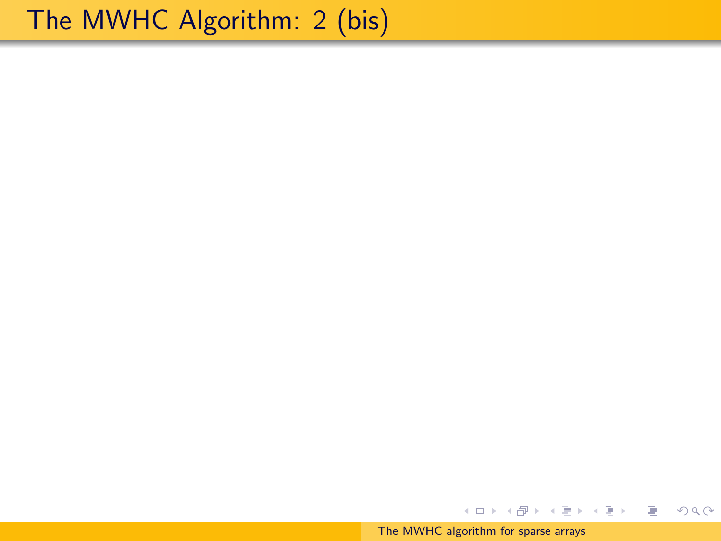[The MWHC algorithm for sparse arrays](#page-0-0)

イロン イ団ン イミン イミン

€.

 $2Q$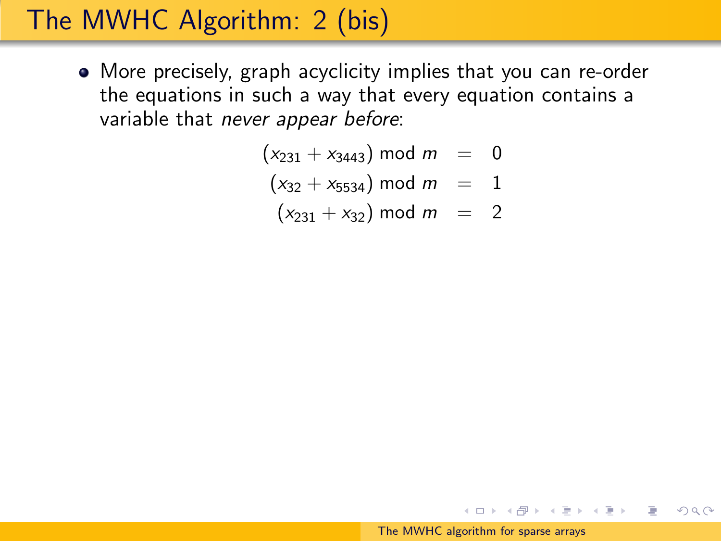More precisely, graph acyclicity implies that you can re-order the equations in such a way that every equation contains a variable that never appear before:

$$
(x_{231} + x_{3443}) \bmod m = 0
$$

$$
(x_{32} + x_{5534}) \mod m = 1
$$

 $(x_{231} + x_{32})$  mod  $m = 2$ 

イロメ イ押メ イヨメ イヨメー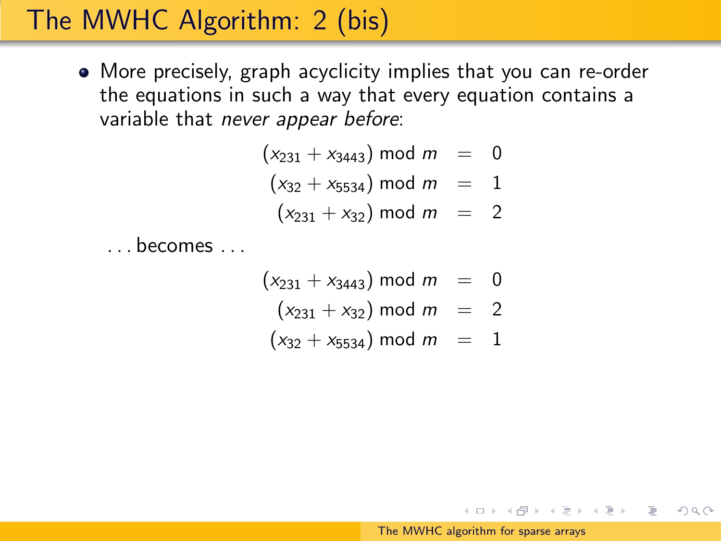More precisely, graph acyclicity implies that you can re-order the equations in such a way that every equation contains a variable that never appear before:

$$
(x_{231} + x_{3443}) \mod m = 0
$$
  
\n
$$
(x_{32} + x_{5534}) \mod m = 1
$$
  
\n
$$
(x_{231} + x_{32}) \mod m = 2
$$

. . . becomes . . .

$$
(x_{231} + x_{3443}) \mod m = 0
$$
  

$$
(x_{231} + x_{32}) \mod m = 2
$$
  

$$
(x_{32} + x_{5534}) \mod m = 1
$$

K ロンス 御 > スミンス ミンニ ミ

 $OQ$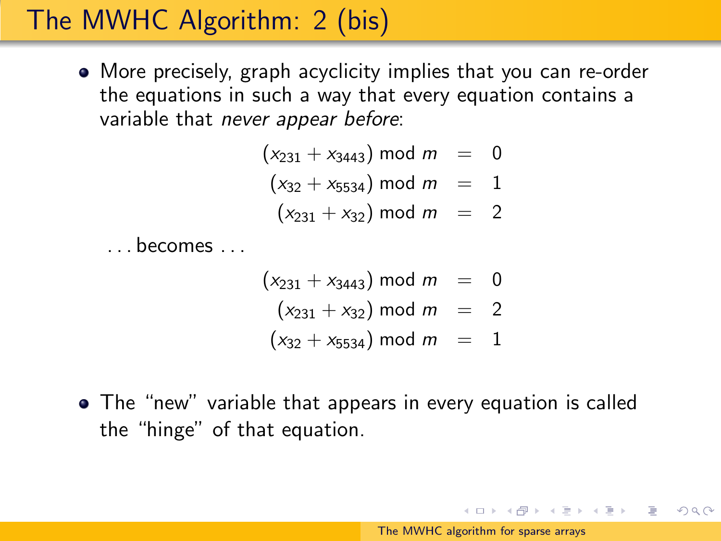More precisely, graph acyclicity implies that you can re-order the equations in such a way that every equation contains a variable that never appear before:

$$
(x_{231} + x_{3443}) \mod m = 0
$$
  
\n
$$
(x_{32} + x_{5534}) \mod m = 1
$$
  
\n
$$
(x_{231} + x_{32}) \mod m = 2
$$

. . . becomes . . .

$$
(x_{231} + x_{3443}) \mod m = 0
$$
  
\n
$$
(x_{231} + x_{32}) \mod m = 2
$$
  
\n
$$
(x_{32} + x_{5534}) \mod m = 1
$$

The "new" variable that appears in every equation is called the "hinge" of that equation.

イロン イ団ン イミン イミン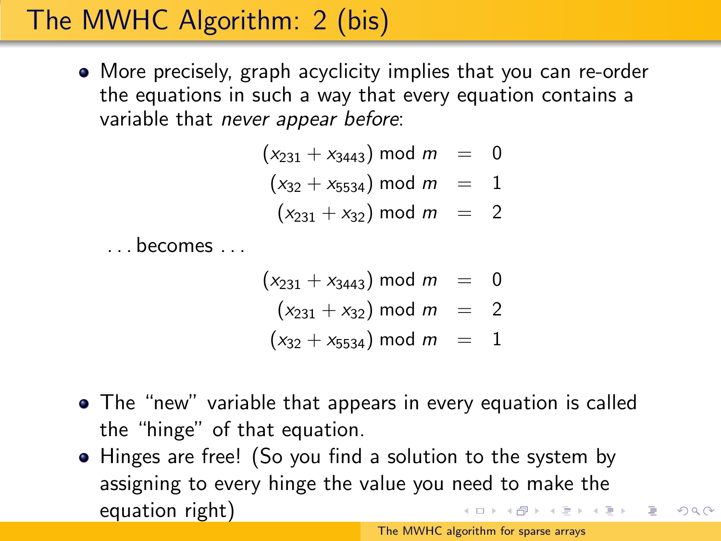More precisely, graph acyclicity implies that you can re-order the equations in such a way that every equation contains a variable that never appear before:

$$
(x_{231} + x_{3443}) \mod m = 0
$$
  
\n
$$
(x_{32} + x_{5534}) \mod m = 1
$$
  
\n
$$
(x_{231} + x_{32}) \mod m = 2
$$

. . . becomes . . .

$$
(x_{231} + x_{3443}) \mod m = 0
$$
  
\n
$$
(x_{231} + x_{32}) \mod m = 2
$$
  
\n
$$
(x_{32} + x_{5534}) \mod m = 1
$$

- The "new" variable that appears in every equation is called the "hinge" of that equation.
- Hinges are free! (So you find a solution to the system by assigning to every hinge the value you need to make the equation right)

 $OQ$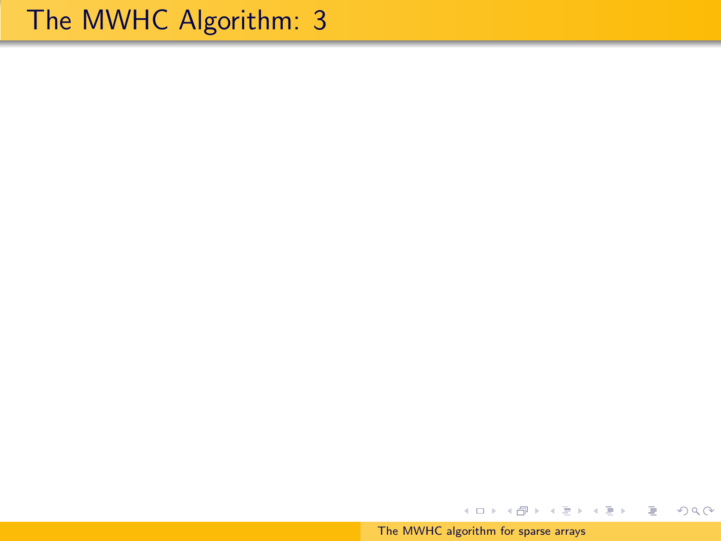[The MWHC algorithm for sparse arrays](#page-0-0)

イロン イ部ン イミン イミン

ミー  $299$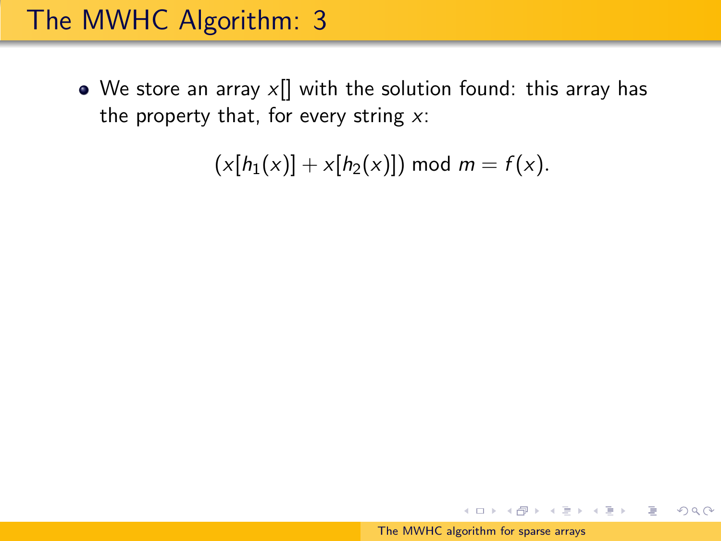• We store an array  $x$ ] with the solution found: this array has the property that, for every string  $x$ :

 $(x[h_1(x)] + x[h_2(x)])$  mod  $m = f(x)$ .

イロメ イ母メ イヨメ イヨメー

 $OQ$ 

∍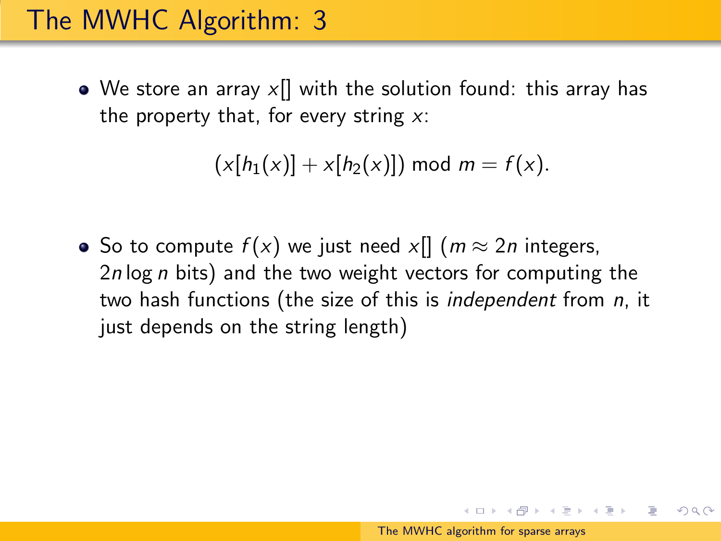• We store an array  $x[]$  with the solution found: this array has the property that, for every string  $x$ :

 $(x[h_1(x)] + x[h_2(x)])$  mod  $m = f(x)$ .

• So to compute  $f(x)$  we just need x[]  $(m \approx 2n)$  integers,  $2n \log n$  bits) and the two weight vectors for computing the two hash functions (the size of this is independent from n, it just depends on the string length)

イロン イ母ン イヨン イヨン 一手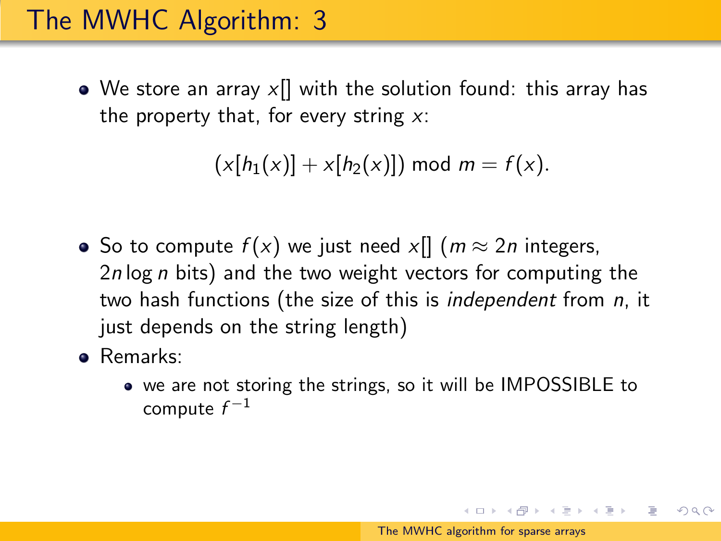• We store an array  $x[]$  with the solution found: this array has the property that, for every string  $x$ :

 $(x[h_1(x)] + x[h_2(x)])$  mod  $m = f(x)$ .

- So to compute  $f(x)$  we just need x[]  $(m \approx 2n)$  integers, 2n log n bits) and the two weight vectors for computing the two hash functions (the size of this is *independent* from *n*, it just depends on the string length)
- Remarks:
	- we are not storing the strings, so it will be IMPOSSIBLE to compute  $f^{-1}$

イロン イ母ン イヨン イヨン 一手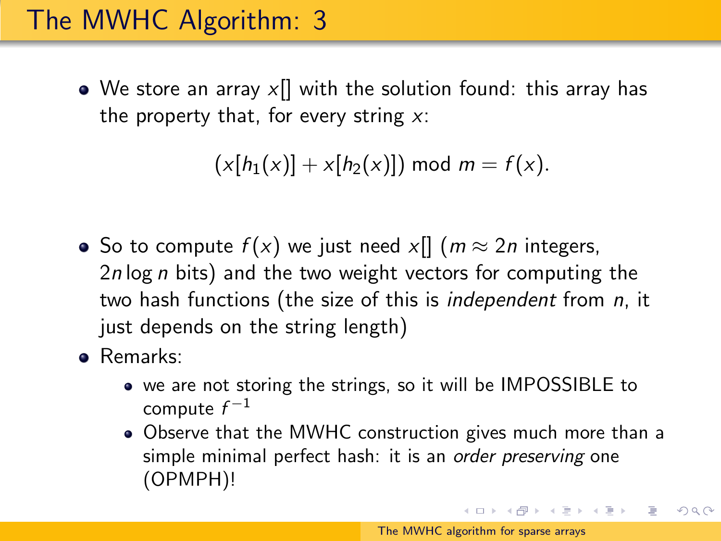$\bullet$  We store an array  $x[]$  with the solution found: this array has the property that, for every string  $x$ :

 $(x[h_1(x)] + x[h_2(x)])$  mod  $m = f(x)$ .

- So to compute  $f(x)$  we just need x[]  $(m \approx 2n)$  integers, 2n log n bits) and the two weight vectors for computing the two hash functions (the size of this is independent from n, it just depends on the string length)
- Remarks:
	- we are not storing the strings, so it will be IMPOSSIBLE to compute  $f^{-1}$
	- Observe that the MWHC construction gives much more than a simple minimal perfect hash: it is an *order preserving* one (OPMPH)!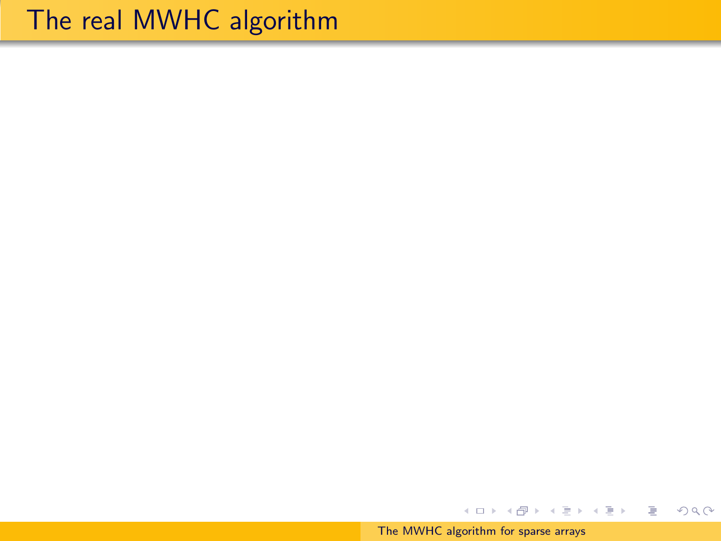### The real MWHC algorithm

[The MWHC algorithm for sparse arrays](#page-0-0)

イロメ イ団メ イモメ イモメー

€.

 $2Q$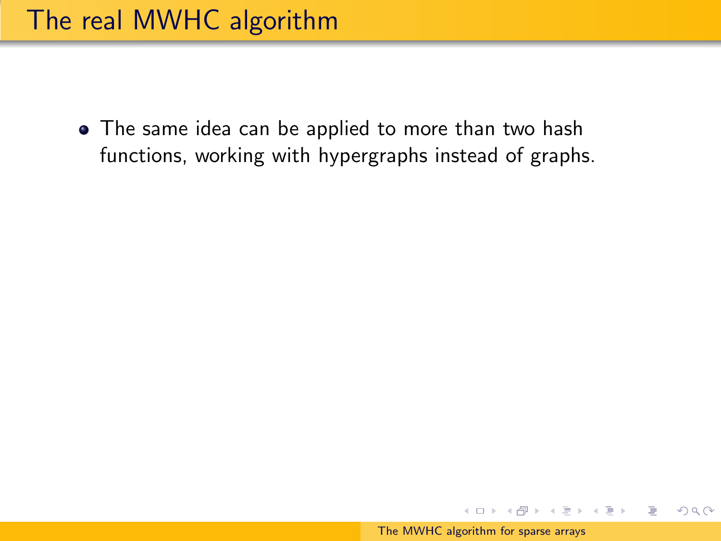• The same idea can be applied to more than two hash functions, working with hypergraphs instead of graphs.

イロメ イ押メ イヨメ イヨメー

 $OQ$ 

∍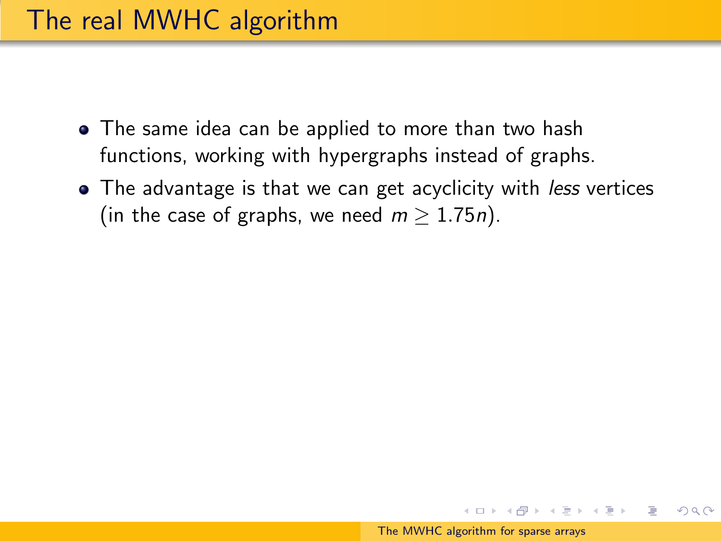- The same idea can be applied to more than two hash functions, working with hypergraphs instead of graphs.
- The advantage is that we can get acyclicity with *less* vertices (in the case of graphs, we need  $m > 1.75n$ ).

イロメ イ団メ イモメ イモメー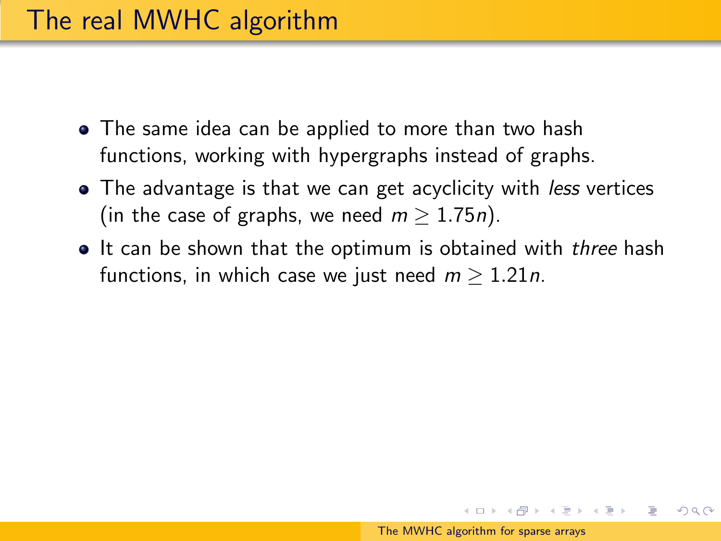- The same idea can be applied to more than two hash functions, working with hypergraphs instead of graphs.
- The advantage is that we can get acyclicity with *less* vertices (in the case of graphs, we need  $m > 1.75n$ ).
- It can be shown that the optimum is obtained with *three* hash functions, in which case we just need  $m > 1.21n$ .

イロン イ部ン イミン イミン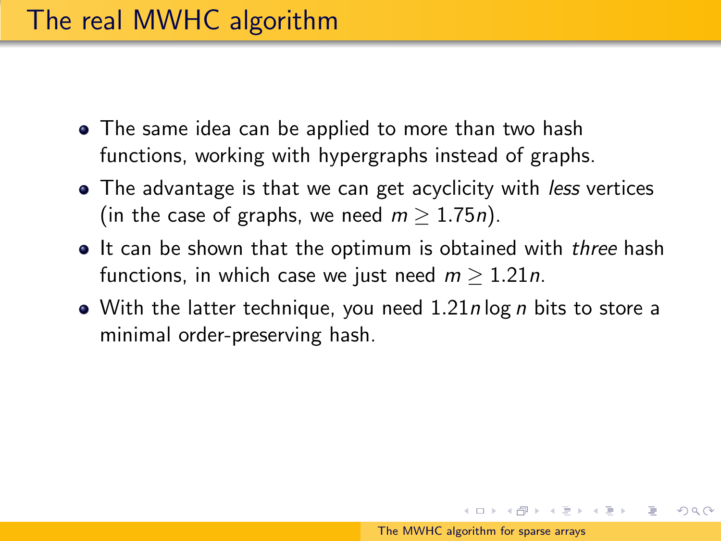- The same idea can be applied to more than two hash functions, working with hypergraphs instead of graphs.
- The advantage is that we can get acyclicity with *less* vertices (in the case of graphs, we need  $m > 1.75n$ ).
- It can be shown that the optimum is obtained with three hash functions, in which case we just need  $m > 1.21n$ .
- With the latter technique, you need  $1.21n \log n$  bits to store a minimal order-preserving hash.

イロメ イ母メ イヨメ イヨメー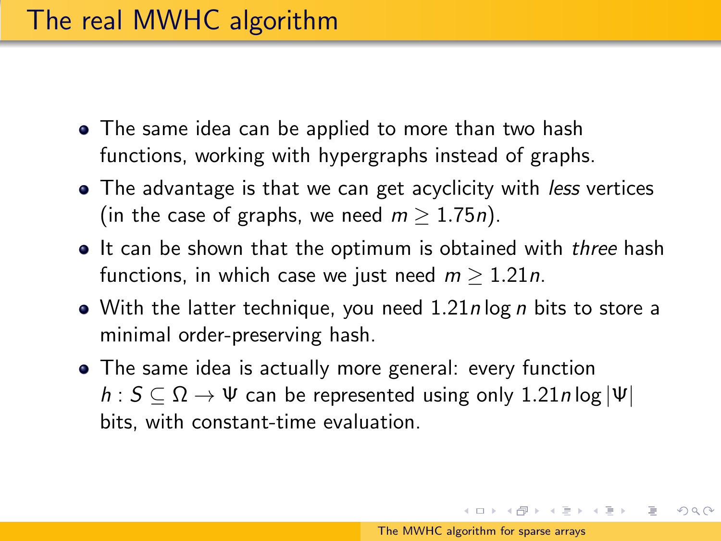- The same idea can be applied to more than two hash functions, working with hypergraphs instead of graphs.
- The advantage is that we can get acyclicity with *less* vertices (in the case of graphs, we need  $m \geq 1.75n$ ).
- It can be shown that the optimum is obtained with three hash functions, in which case we just need  $m > 1.21n$ .
- With the latter technique, you need  $1.21n \log n$  bits to store a minimal order-preserving hash.
- The same idea is actually more general: every function  $h: S \subseteq \Omega \rightarrow \Psi$  can be represented using only 1.21n log  $|\Psi|$ bits, with constant-time evaluation.

イロト イ押ト イヨト イヨト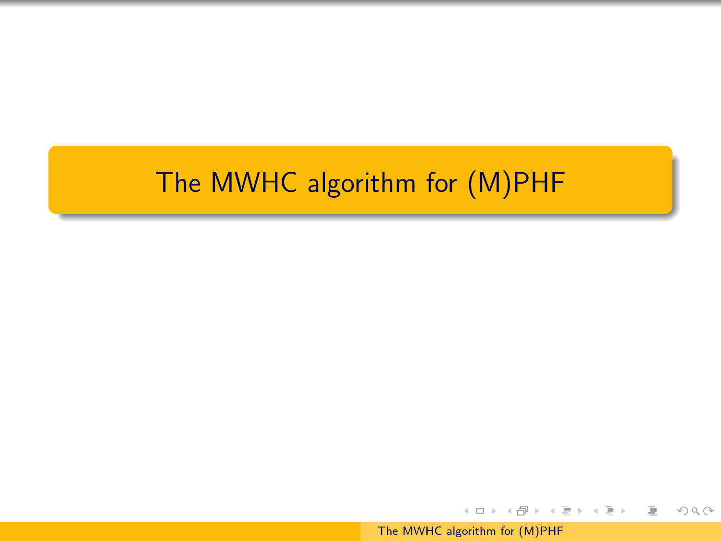#### The MWHC algorithm for (M)PHF

[The MWHC algorithm for \(M\)PHF](#page-0-0)

イロン イ団ン イミン イミン

目

 $2Q$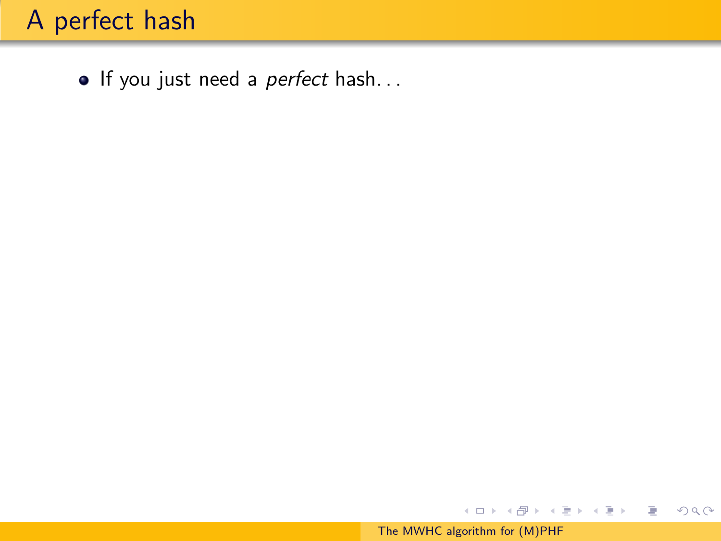### A perfect hash

• If you just need a *perfect* hash...

イロン イ団ン イミン イミン

€.

 $299$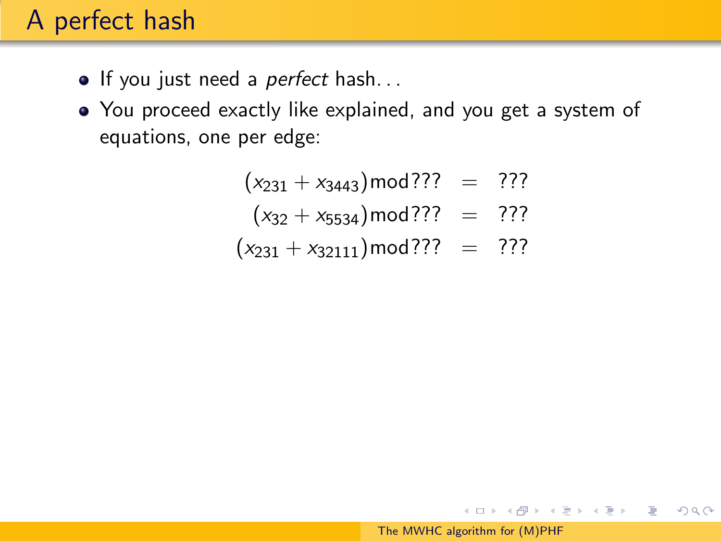### A perfect hash

- If you just need a *perfect* hash...
- You proceed exactly like explained, and you get a system of equations, one per edge:

$$
(x_{231} + x_{3443}) \text{mod} ? ? ? = ? ? ?
$$

$$
(x_{32} + x_{5534}) \text{mod}?
$$
? = ???

$$
(x_{231} + x_{32111}) \text{mod} ? ? ? = ? ? ?
$$

イ伊 メイヨ メイヨメー

 $OQ$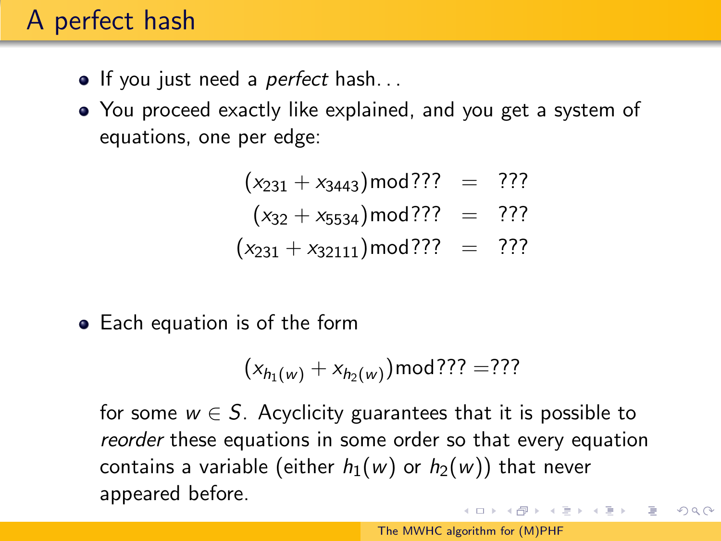### A perfect hash

- If you just need a *perfect* hash...
- You proceed exactly like explained, and you get a system of equations, one per edge:

$$
(x_{231} + x_{3443}) \text{mod} ? ? ? = ? ? ?
$$

- $(x_{32} + x_{5534})$  mod ??? = ???
- $(x_{231} + x_{32111}) \text{mod}$ ??? = ???
- Each equation is of the form

$$
(x_{h_1(w)} + x_{h_2(w)}) \mod{??} = ???
$$

for some  $w \in S$ . Acyclicity guarantees that it is possible to reorder these equations in some order so that every equation contains a variable (either  $h_1(w)$  or  $h_2(w)$ ) that never appeared before.  $\mathcal{A}(\overline{\mathcal{B}}) \rightarrow \mathcal{A}(\mathbb{B}) \rightarrow \mathcal{A}(\mathbb{B}) \rightarrow \mathcal{A}(\mathbb{B})$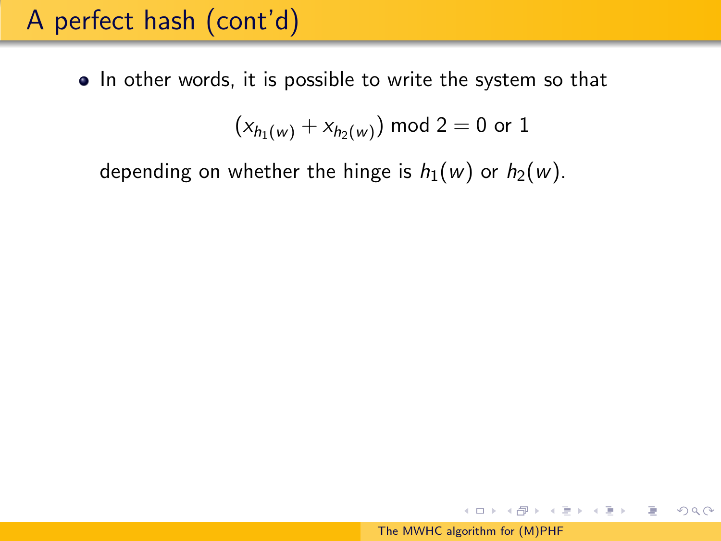• In other words, it is possible to write the system so that

$$
(x_{h_1(w)} + x_{h_2(w)}) \text{ mod } 2 = 0 \text{ or } 1
$$

depending on whether the hinge is  $h_1(w)$  or  $h_2(w)$ .

イ母 トラミチ マミメート

 $OQ$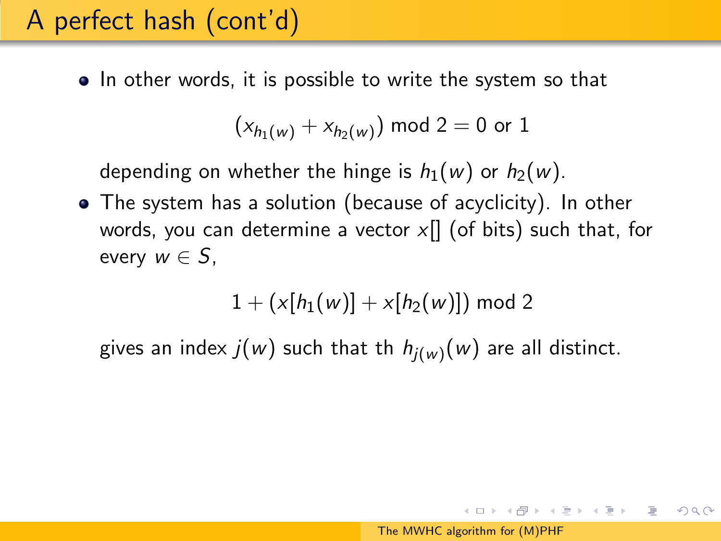• In other words, it is possible to write the system so that

$$
(x_{h_1(w)} + x_{h_2(w)}) \text{ mod } 2 = 0 \text{ or } 1
$$

depending on whether the hinge is  $h_1(w)$  or  $h_2(w)$ .

The system has a solution (because of acyclicity). In other words, you can determine a vector  $x$ [] (of bits) such that, for every  $w \in S$ ,

$$
1 + (x[h_1(w)] + x[h_2(w)]) \mod 2
$$

gives an index  $j(w)$  such that th  $h_{j(w)}(w)$  are all distinct.

 $\mathcal{A} \oplus \mathcal{B} \rightarrow \mathcal{A} \oplus \mathcal{B} \rightarrow \mathcal{A} \oplus \mathcal{B} \rightarrow \mathcal{B}$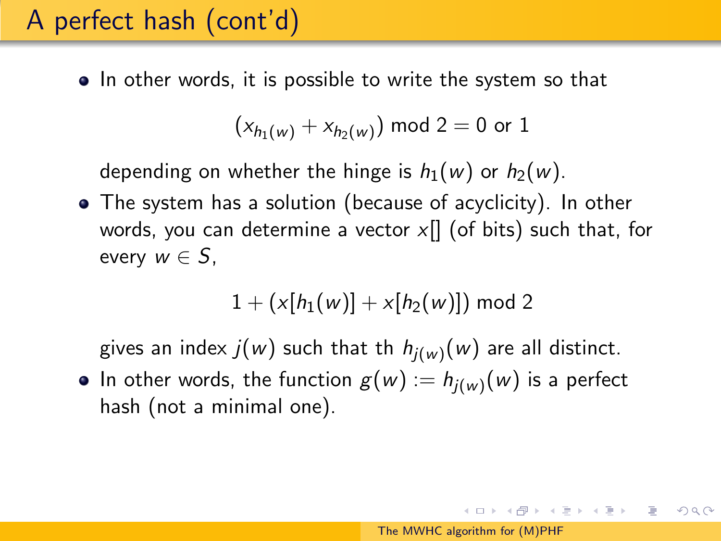• In other words, it is possible to write the system so that

$$
(x_{h_1(w)} + x_{h_2(w)}) \text{ mod } 2 = 0 \text{ or } 1
$$

depending on whether the hinge is  $h_1(w)$  or  $h_2(w)$ .

The system has a solution (because of acyclicity). In other words, you can determine a vector  $x$ [] (of bits) such that, for every  $w \in S$ .

$$
1 + (x[h_1(w)] + x[h_2(w)]) \bmod 2
$$

gives an index  $j(w)$  such that th  $h_{j(w)}(w)$  are all distinct.

In other words, the function  $g(w) := h_{j(w)}(w)$  is a perfect hash (not a minimal one).

 $\mathcal{A}(\overline{H}) \rightarrow \mathcal{A}(\mathbb{B}) \rightarrow \mathcal{A}(\mathbb{B}) \rightarrow \mathbb{B}$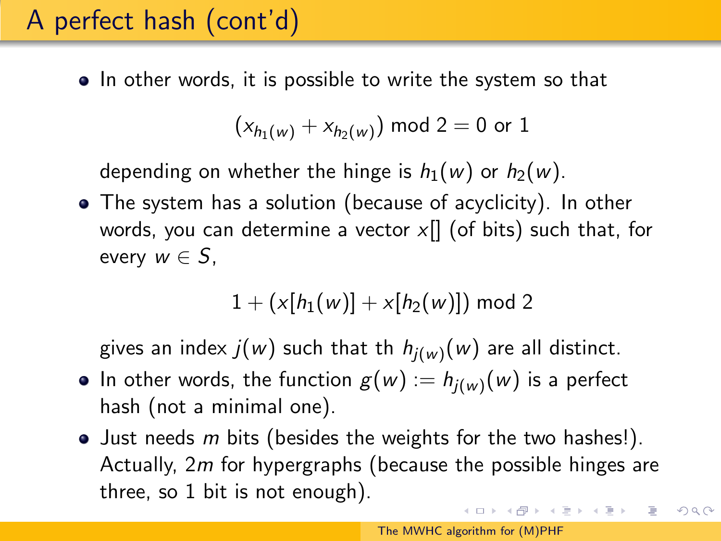• In other words, it is possible to write the system so that

$$
(x_{h_1(w)} + x_{h_2(w)}) \text{ mod } 2 = 0 \text{ or } 1
$$

depending on whether the hinge is  $h_1(w)$  or  $h_2(w)$ .

The system has a solution (because of acyclicity). In other words, you can determine a vector  $x$ [] (of bits) such that, for every  $w \in S$ ,

$$
1 + (x[h_1(w)] + x[h_2(w)]) \bmod 2
$$

gives an index  $j(w)$  such that th  $h_{j(w)}(w)$  are all distinct.

- In other words, the function  $g(w) := h_{j(w)}(w)$  is a perfect hash (not a minimal one).
- $\bullet$  Just needs m bits (besides the weights for the two hashes!). Actually, 2m for hypergraphs (because the possible hinges are three, so 1 bit is not enough).

つくい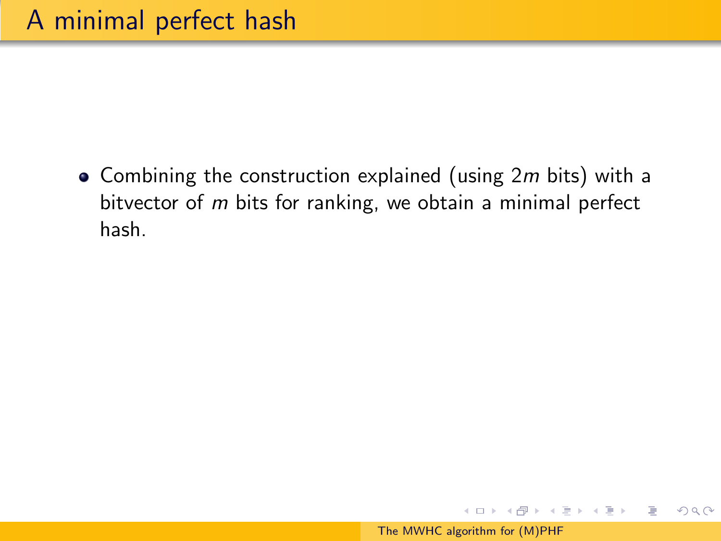• Combining the construction explained (using  $2m$  bits) with a bitvector of m bits for ranking, we obtain a minimal perfect hash.

メ押 トメミ トメミ トー

 $OQ$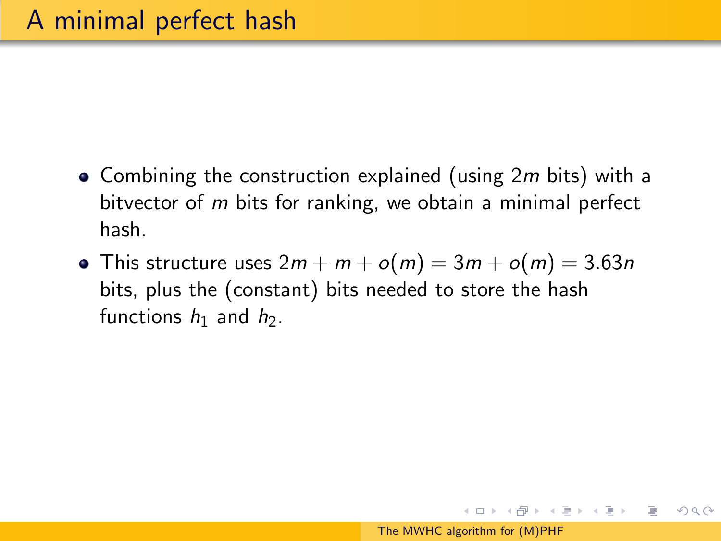- Combining the construction explained (using  $2m$  bits) with a bitvector of m bits for ranking, we obtain a minimal perfect hash.
- This structure uses  $2m + m + o(m) = 3m + o(m) = 3.63n$ bits, plus the (constant) bits needed to store the hash functions  $h_1$  and  $h_2$ .

何 ト イヨ ト イヨ トー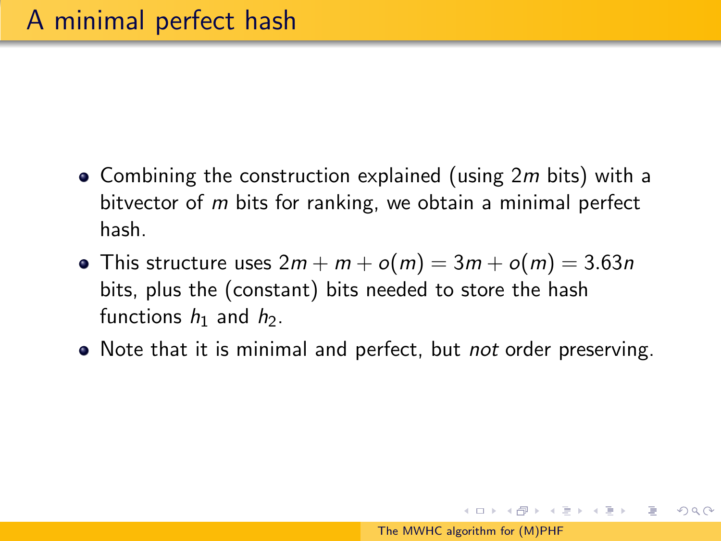- Combining the construction explained (using  $2m$  bits) with a bitvector of m bits for ranking, we obtain a minimal perfect hash.
- This structure uses  $2m + m + o(m) = 3m + o(m) = 3.63n$ bits, plus the (constant) bits needed to store the hash functions  $h_1$  and  $h_2$ .
- Note that it is minimal and perfect, but *not* order preserving.

母 ト イヨ ト イヨ トー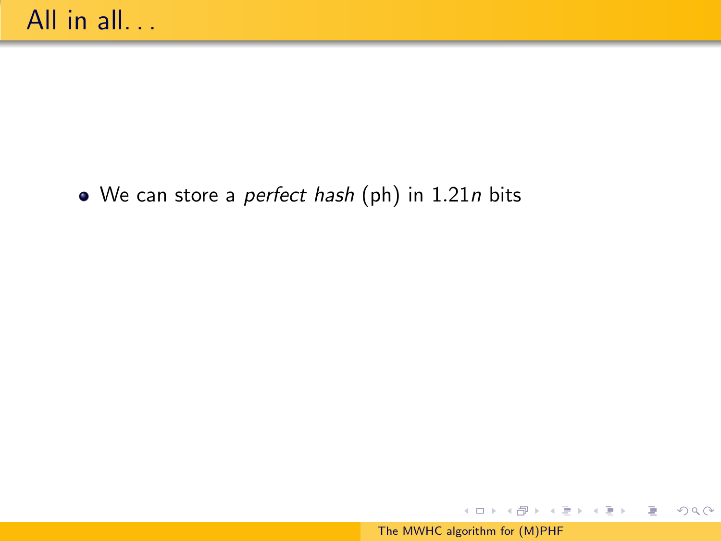• We can store a *perfect hash* (ph) in 1.21n bits

イロメ イ部メ イ君メ イ君メー

€.

 $2Q$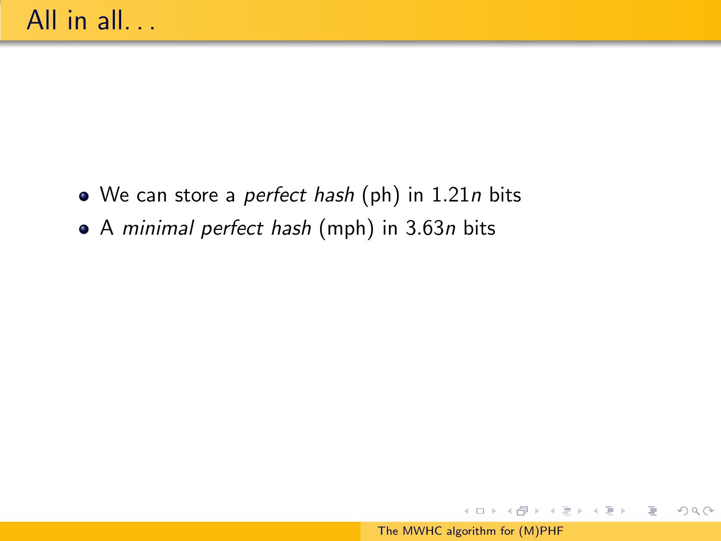- $\bullet$  We can store a perfect hash (ph) in 1.21n bits
- A minimal perfect hash (mph) in 3.63n bits

イロト イ部 トイ君 トイ君 トー

 $OQ$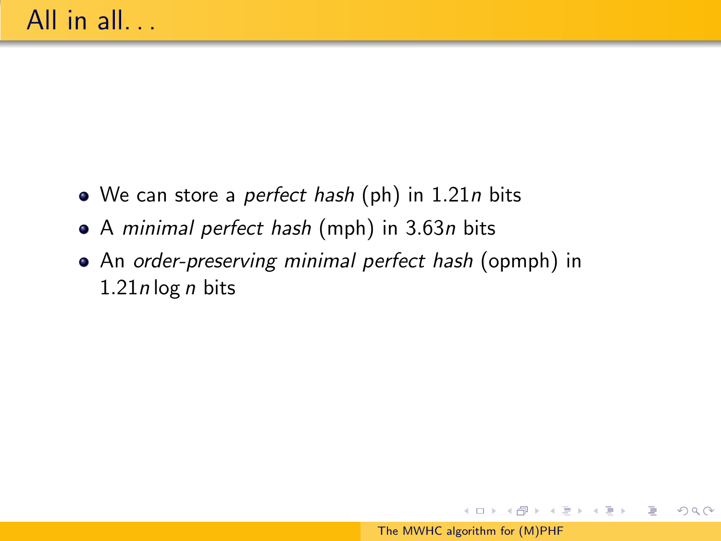- $\bullet$  We can store a perfect hash (ph) in 1.21n bits
- A minimal perfect hash (mph) in 3.63n bits
- An order-preserving minimal perfect hash (opmph) in  $1.21n \log n$  bits

スタンスミンスミント

 $OQ$